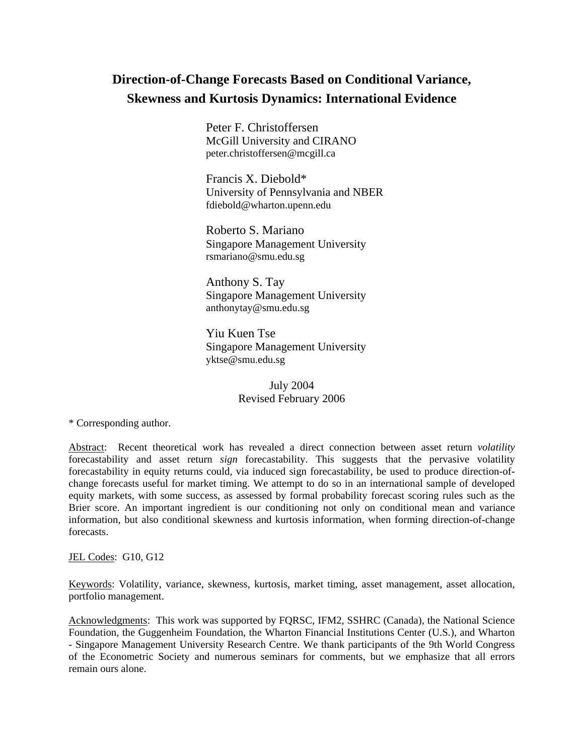# **Direction-of-Change Forecasts Based on Conditional Variance, Skewness and Kurtosis Dynamics: International Evidence**

Peter F. Christoffersen McGill University and CIRANO peter.christoffersen@mcgill.ca

Francis X. Diebold\* University of Pennsylvania and NBER fdiebold@wharton.upenn.edu

Roberto S. Mariano Singapore Management University rsmariano@smu.edu.sg

Anthony S. Tay Singapore Management University anthonytay@smu.edu.sg

Yiu Kuen Tse Singapore Management University yktse@smu.edu.sg

> July 2004 Revised February 2006

\* Corresponding author.

Abstract: Recent theoretical work has revealed a direct connection between asset return *volatility* forecastability and asset return *sign* forecastability. This suggests that the pervasive volatility forecastability in equity returns could, via induced sign forecastability, be used to produce direction-ofchange forecasts useful for market timing. We attempt to do so in an international sample of developed equity markets, with some success, as assessed by formal probability forecast scoring rules such as the Brier score. An important ingredient is our conditioning not only on conditional mean and variance information, but also conditional skewness and kurtosis information, when forming direction-of-change forecasts.

JEL Codes: G10, G12

Keywords: Volatility, variance, skewness, kurtosis, market timing, asset management, asset allocation, portfolio management.

Acknowledgments: This work was supported by FQRSC, IFM2, SSHRC (Canada), the National Science Foundation, the Guggenheim Foundation, the Wharton Financial Institutions Center (U.S.), and Wharton - Singapore Management University Research Centre. We thank participants of the 9th World Congress of the Econometric Society and numerous seminars for comments, but we emphasize that all errors remain ours alone.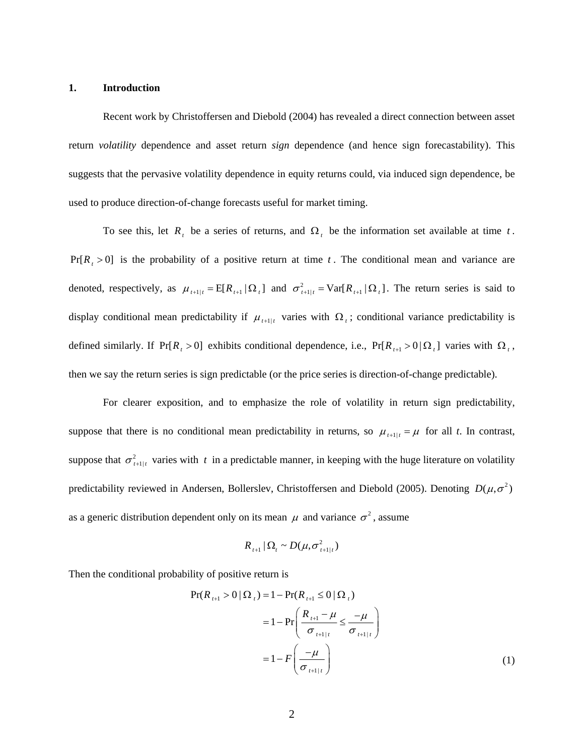#### <span id="page-1-0"></span>**1. Introduction**

Recent work by Christoffersen and Diebold (2004) has revealed a direct connection between asset return *volatility* dependence and asset return *sign* dependence (and hence sign forecastability). This suggests that the pervasive volatility dependence in equity returns could, via induced sign dependence, be used to produce direction-of-change forecasts useful for market timing.

To see this, let  $R_t$  be a series of returns, and  $\Omega_t$  be the information set available at time *t*.  $Pr[R_{t} > 0]$  is the probability of a positive return at time *t*. The conditional mean and variance are denoted, respectively, as  $\mu_{t+1|t} = E[R_{t+1} | \Omega_t]$  and  $\sigma_{t+1|t}^2 = Var[R_{t+1} | \Omega_t]$ . The return series is said to display conditional mean predictability if  $\mu_{t+1|t}$  varies with  $\Omega_t$ ; conditional variance predictability is defined similarly. If Pr[ $R_t > 0$ ] exhibits conditional dependence, i.e., Pr[ $R_{t+1} > 0 \Omega_t$ ] varies with  $\Omega_t$ , then we say the return series is sign predictable (or the price series is direction-of-change predictable).

For clearer exposition, and to emphasize the role of volatility in return sign predictability, suppose that there is no conditional mean predictability in returns, so  $\mu_{t+1|t} = \mu$  for all *t*. In contrast, suppose that  $\sigma_{t+1|t}^2$  varies with t in a predictable manner, in keeping with the huge literature on volatility predictability reviewed in Andersen, Bollerslev, Christoffersen and Diebold (2005). Denoting  $D(\mu, \sigma^2)$ as a generic distribution dependent only on its mean  $\mu$  and variance  $\sigma^2$ , assume

$$
R_{t+1} | \Omega_t \sim D(\mu, \sigma_{t+1|t}^2)
$$

Then the conditional probability of positive return is

$$
\Pr(R_{t+1} > 0 | \Omega_{t}) = 1 - \Pr(R_{t+1} \le 0 | \Omega_{t})
$$
  
= 1 - \Pr\left(\frac{R\_{t+1} - \mu}{\sigma\_{t+1|t}} \le \frac{-\mu}{\sigma\_{t+1|t}}\right)  
= 1 - F\left(\frac{-\mu}{\sigma\_{t+1|t}}\right) (1)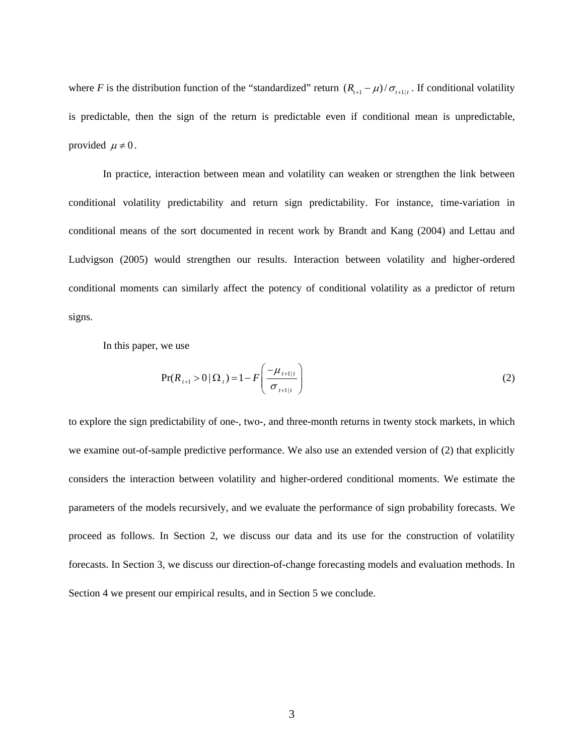<span id="page-2-0"></span>where *F* is the distribution function of the "standardized" return  $(R_{t+1} - \mu)/\sigma_{t+1|t}$ . If conditional volatility is predictable, then the sign of the return is predictable even if conditional mean is unpredictable, provided  $\mu \neq 0$ .

In practice, interaction between mean and volatility can weaken or strengthen the link between conditional volatility predictability and return sign predictability. For instance, time-variation in conditional means of the sort documented in recent work by Brandt and Kang (2004) and Lettau and Ludvigson (2005) would strengthen our results. Interaction between volatility and higher-ordered conditional moments can similarly affect the potency of conditional volatility as a predictor of return signs.

In this paper, we use

$$
Pr(R_{t+1} > 0 | \Omega_t) = 1 - F\left(\frac{-\mu_{t+1|t}}{\sigma_{t+1|t}}\right)
$$
 (2)

to explore the sign predictability of one-, two-, and three-month returns in twenty stock markets, in which we examine out-of-sample predictive performance. We also use an extended version of [\(2\)](#page-2-0) that explicitly considers the interaction between volatility and higher-ordered conditional moments. We estimate the parameters of the models recursively, and we evaluate the performance of sign probability forecasts. We proceed as follows. In Section 2, we discuss our data and its use for the construction of volatility forecasts. In Section 3, we discuss our direction-of-change forecasting models and evaluation methods. In Section 4 we present our empirical results, and in Section 5 we conclude.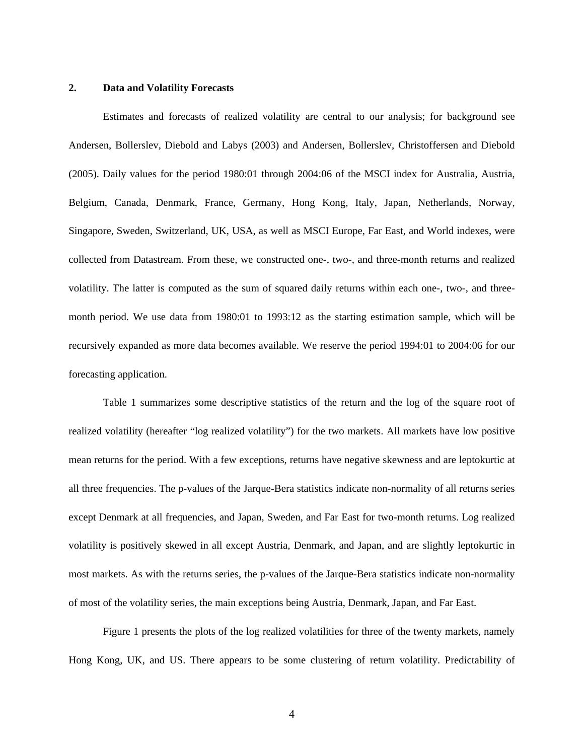# **2. Data and Volatility Forecasts**

 Estimates and forecasts of realized volatility are central to our analysis; for background see Andersen, Bollerslev, Diebold and Labys (2003) and Andersen, Bollerslev, Christoffersen and Diebold (2005). Daily values for the period 1980:01 through 2004:06 of the MSCI index for Australia, Austria, Belgium, Canada, Denmark, France, Germany, Hong Kong, Italy, Japan, Netherlands, Norway, Singapore, Sweden, Switzerland, UK, USA, as well as MSCI Europe, Far East, and World indexes, were collected from Datastream. From these, we constructed one-, two-, and three-month returns and realized volatility. The latter is computed as the sum of squared daily returns within each one-, two-, and threemonth period. We use data from 1980:01 to 1993:12 as the starting estimation sample, which will be recursively expanded as more data becomes available. We reserve the period 1994:01 to 2004:06 for our forecasting application.

 Table 1 summarizes some descriptive statistics of the return and the log of the square root of realized volatility (hereafter "log realized volatility") for the two markets. All markets have low positive mean returns for the period. With a few exceptions, returns have negative skewness and are leptokurtic at all three frequencies. The p-values of the Jarque-Bera statistics indicate non-normality of all returns series except Denmark at all frequencies, and Japan, Sweden, and Far East for two-month returns. Log realized volatility is positively skewed in all except Austria, Denmark, and Japan, and are slightly leptokurtic in most markets. As with the returns series, the p-values of the Jarque-Bera statistics indicate non-normality of most of the volatility series, the main exceptions being Austria, Denmark, Japan, and Far East.

 Figure 1 presents the plots of the log realized volatilities for three of the twenty markets, namely Hong Kong, UK, and US. There appears to be some clustering of return volatility. Predictability of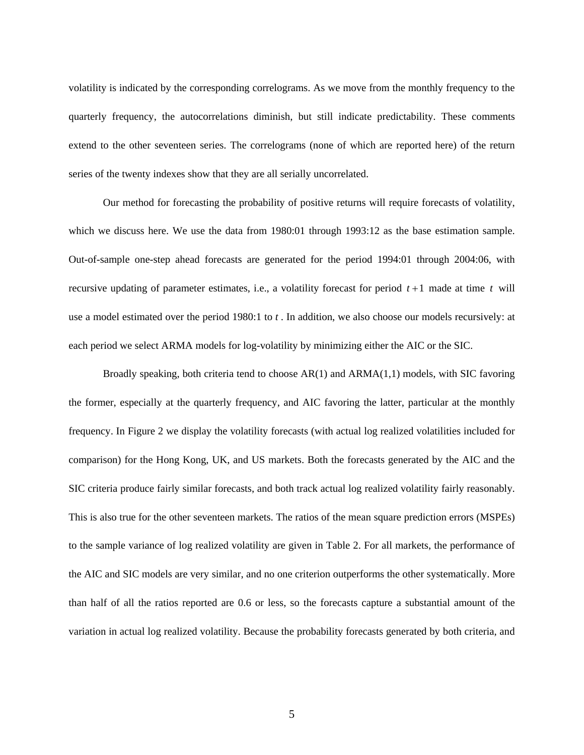volatility is indicated by the corresponding correlograms. As we move from the monthly frequency to the quarterly frequency, the autocorrelations diminish, but still indicate predictability. These comments extend to the other seventeen series. The correlograms (none of which are reported here) of the return series of the twenty indexes show that they are all serially uncorrelated.

Our method for forecasting the probability of positive returns will require forecasts of volatility, which we discuss here. We use the data from 1980:01 through 1993:12 as the base estimation sample. Out-of-sample one-step ahead forecasts are generated for the period 1994:01 through 2004:06, with recursive updating of parameter estimates, i.e., a volatility forecast for period *t* +1 made at time *t* will use a model estimated over the period 1980:1 to *t* . In addition, we also choose our models recursively: at each period we select ARMA models for log-volatility by minimizing either the AIC or the SIC.

Broadly speaking, both criteria tend to choose  $AR(1)$  and  $ARMA(1,1)$  models, with SIC favoring the former, especially at the quarterly frequency, and AIC favoring the latter, particular at the monthly frequency. In Figure 2 we display the volatility forecasts (with actual log realized volatilities included for comparison) for the Hong Kong, UK, and US markets. Both the forecasts generated by the AIC and the SIC criteria produce fairly similar forecasts, and both track actual log realized volatility fairly reasonably. This is also true for the other seventeen markets. The ratios of the mean square prediction errors (MSPEs) to the sample variance of log realized volatility are given in Table 2. For all markets, the performance of the AIC and SIC models are very similar, and no one criterion outperforms the other systematically. More than half of all the ratios reported are 0.6 or less, so the forecasts capture a substantial amount of the variation in actual log realized volatility. Because the probability forecasts generated by both criteria, and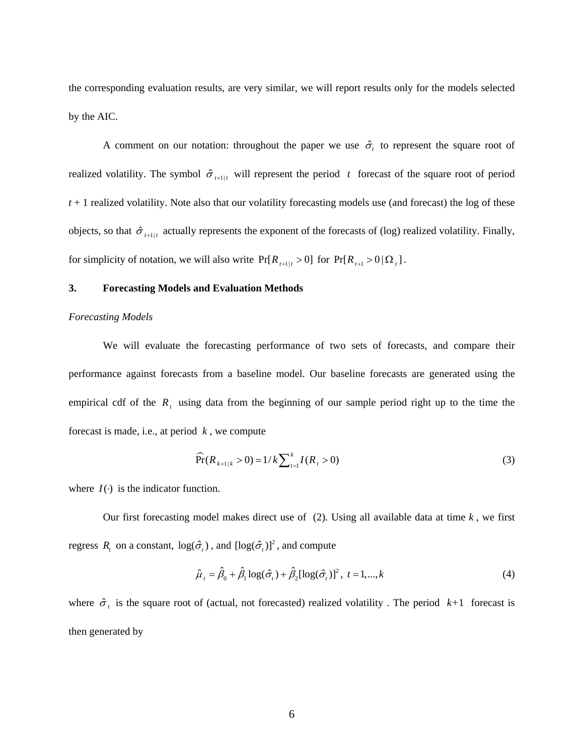<span id="page-5-0"></span>the corresponding evaluation results, are very similar, we will report results only for the models selected by the AIC.

A comment on our notation: throughout the paper we use  $\hat{\sigma}_t$  to represent the square root of realized volatility. The symbol  $\hat{\sigma}_{t+1|t}$  will represent the period t forecast of the square root of period *t* + 1 realized volatility. Note also that our volatility forecasting models use (and forecast) the log of these objects, so that  $\hat{\sigma}_{t+1|t}$  actually represents the exponent of the forecasts of (log) realized volatility. Finally, for simplicity of notation, we will also write  $Pr[R_{t+1|t} > 0]$  for  $Pr[R_{t+1} > 0 | \Omega_t]$ .

# **3. Forecasting Models and Evaluation Methods**

#### *Forecasting Models*

We will evaluate the forecasting performance of two sets of forecasts, and compare their performance against forecasts from a baseline model. Our baseline forecasts are generated using the empirical cdf of the  $R_t$ , using data from the beginning of our sample period right up to the time the forecast is made, i.e., at period *k* , we compute

$$
\widehat{\Pr}(R_{k+1|k} > 0) = 1/k \sum_{t=1}^{k} I(R_t > 0)
$$
\n(3)

where  $I(\cdot)$  is the indicator function.

Our first forecasting model makes direct use of  $(2)$ . Using all available data at time  $k$ , we first regress *R*<sub>*t*</sub> on a constant,  $log(\hat{\sigma}_t)$ , and  $[log(\hat{\sigma}_t)]^2$ , and compute

$$
\hat{\mu}_t = \hat{\beta}_0 + \hat{\beta}_1 \log(\hat{\sigma}_t) + \hat{\beta}_2 [\log(\hat{\sigma}_t)]^2, \ t = 1, ..., k \tag{4}
$$

where  $\hat{\sigma}_t$  is the square root of (actual, not forecasted) realized volatility. The period  $k+1$  forecast is then generated by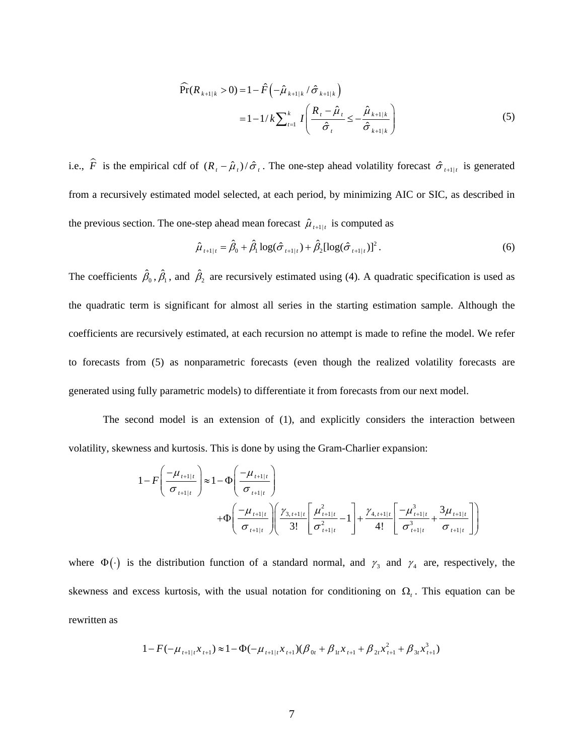$$
\widehat{\Pr}(R_{k+1|k} > 0) = 1 - \widehat{F}\left(-\widehat{\mu}_{k+1|k} / \widehat{\sigma}_{k+1|k}\right)
$$
  
=  $1 - 1/k \sum_{t=1}^{k} I\left(\frac{R_{t} - \widehat{\mu}_{t}}{\widehat{\sigma}_{t}} \leq -\frac{\widehat{\mu}_{k+1|k}}{\widehat{\sigma}_{k+1|k}}\right)$  (5)

<span id="page-6-0"></span>i.e.,  $\hat{F}$  is the empirical cdf of  $(R_t - \hat{\mu}_t)/\hat{\sigma}_t$ . The one-step ahead volatility forecast  $\hat{\sigma}_{t+1|t}$  is generated from a recursively estimated model selected, at each period, by minimizing AIC or SIC, as described in the previous section. The one-step ahead mean forecast  $\hat{\mu}_{t+1|t}$  is computed as

$$
\hat{\mu}_{t+1|t} = \hat{\beta}_0 + \hat{\beta}_1 \log(\hat{\sigma}_{t+1|t}) + \hat{\beta}_2 [\log(\hat{\sigma}_{t+1|t})]^2.
$$
\n(6)

The coefficients  $\hat{\beta}_0$ ,  $\hat{\beta}_1$ , and  $\hat{\beta}_2$  are recursively estimated using [\(4\).](#page-5-0) A quadratic specification is used as the quadratic term is significant for almost all series in the starting estimation sample. Although the coefficients are recursively estimated, at each recursion no attempt is made to refine the model. We refer to forecasts from [\(5\)](#page-6-0) as nonparametric forecasts (even though the realized volatility forecasts are generated using fully parametric models) to differentiate it from forecasts from our next model.

 The second model is an extension of [\(1\)](#page-1-0), and explicitly considers the interaction between volatility, skewness and kurtosis. This is done by using the Gram-Charlier expansion:

$$
1 - F\left(\frac{-\mu_{t+1|t}}{\sigma_{t+1|t}}\right) \approx 1 - \Phi\left(\frac{-\mu_{t+1|t}}{\sigma_{t+1|t}}\right) + \Phi\left(\frac{-\mu_{t+1|t}}{\sigma_{t+1|t}}\right) \left(\frac{\gamma_{3,t+1|t}}{3!} \left[\frac{\mu_{t+1|t}}{\sigma_{t+1|t}} - 1\right] + \frac{\gamma_{4,t+1|t}}{4!} \left[\frac{-\mu_{t+1|t}}{\sigma_{t+1|t}} + \frac{3\mu_{t+1|t}}{\sigma_{t+1|t}}\right]\right)
$$

where  $\Phi(\cdot)$  is the distribution function of a standard normal, and  $\gamma_3$  and  $\gamma_4$  are, respectively, the skewness and excess kurtosis, with the usual notation for conditioning on  $\Omega$ <sub>t</sub>. This equation can be rewritten as

$$
1 - F(-\mu_{t+1|t} x_{t+1}) \approx 1 - \Phi(-\mu_{t+1|t} x_{t+1}) (\beta_{0t} + \beta_{1t} x_{t+1} + \beta_{2t} x_{t+1}^2 + \beta_{3t} x_{t+1}^3)
$$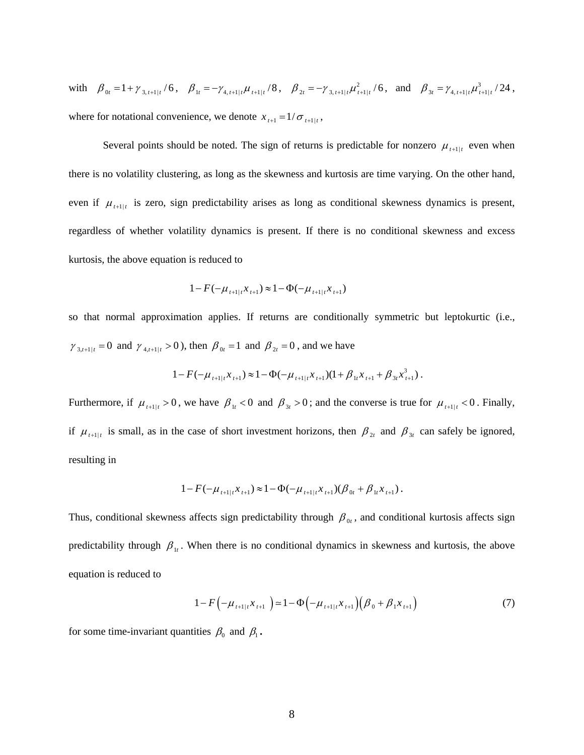<span id="page-7-0"></span>with  $\beta_{0t} = 1 + \gamma_{3, t+1|t}/6$ ,  $\beta_{1t} = -\gamma_{4, t+1|t} \mu_{t+1|t}/8$ ,  $\beta_{2t} = -\gamma_{3, t+1|t} \mu_{t+1|t}^2/6$ , and  $\beta_{3t} = \gamma_{4, t+1|t} \mu_{t+1|t}^3/24$ , where for notational convenience, we denote  $x_{t+1} = 1/\sigma_{t+1}$ ,

Several points should be noted. The sign of returns is predictable for nonzero  $\mu_{t+1|t}$  even when there is no volatility clustering, as long as the skewness and kurtosis are time varying. On the other hand, even if  $\mu_{t+1|t}$  is zero, sign predictability arises as long as conditional skewness dynamics is present, regardless of whether volatility dynamics is present. If there is no conditional skewness and excess kurtosis, the above equation is reduced to

$$
1 - F(-\mu_{t+1|t} x_{t+1}) \approx 1 - \Phi(-\mu_{t+1|t} x_{t+1})
$$

so that normal approximation applies. If returns are conditionally symmetric but leptokurtic (i.e.,  $\gamma_{3,t+1|t} = 0$  and  $\gamma_{4,t+1|t} > 0$ ), then  $\beta_{0t} = 1$  and  $\beta_{2t} = 0$ , and we have

$$
1 - F(-\mu_{t+1|t} x_{t+1}) \approx 1 - \Phi(-\mu_{t+1|t} x_{t+1}) (1 + \beta_{1t} x_{t+1} + \beta_{3t} x_{t+1}^3).
$$

Furthermore, if  $\mu_{t+1|t} > 0$ , we have  $\beta_{1t} < 0$  and  $\beta_{3t} > 0$ ; and the converse is true for  $\mu_{t+1|t} < 0$ . Finally, if  $\mu_{t+1|t}$  is small, as in the case of short investment horizons, then  $\beta_{2t}$  and  $\beta_{3t}$  can safely be ignored, resulting in

$$
1 - F(-\mu_{t+1|t} x_{t+1}) \approx 1 - \Phi(-\mu_{t+1|t} x_{t+1}) (\beta_{0t} + \beta_{1t} x_{t+1}).
$$

Thus, conditional skewness affects sign predictability through  $\beta_{0t}$ , and conditional kurtosis affects sign predictability through  $\beta_{1t}$ . When there is no conditional dynamics in skewness and kurtosis, the above equation is reduced to

$$
1 - F(-\mu_{t+1|t} x_{t+1}) \simeq 1 - \Phi(-\mu_{t+1|t} x_{t+1}) (\beta_0 + \beta_1 x_{t+1})
$$
\n<sup>(7)</sup>

for some time-invariant quantities  $\beta_0$  and  $\beta_1$ .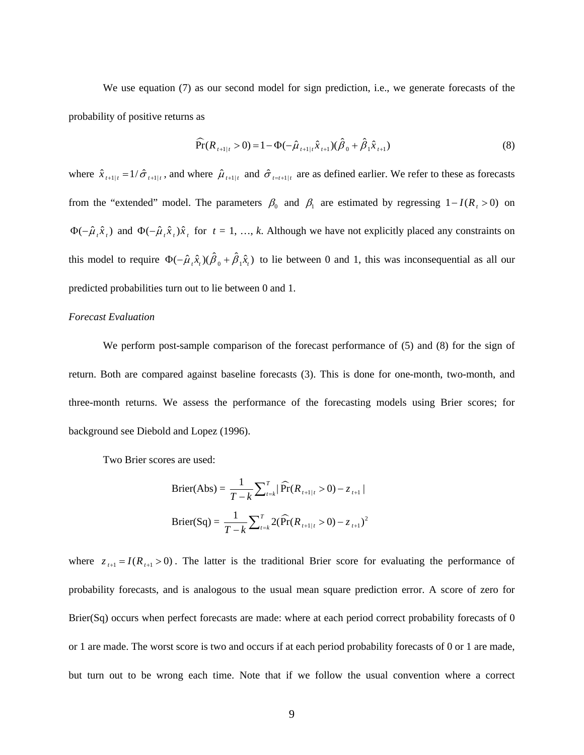<span id="page-8-0"></span>We use equation [\(7\)](#page-7-0) as our second model for sign prediction, i.e., we generate forecasts of the probability of positive returns as

$$
\widehat{\Pr}(R_{t+1|t} > 0) = 1 - \Phi(-\hat{\mu}_{t+1|t}\hat{x}_{t+1})(\hat{\beta}_0 + \hat{\beta}_1\hat{x}_{t+1})
$$
\n(8)

where  $\hat{x}_{t+1|t} = 1/\hat{\sigma}_{t+1|t}$ , and where  $\hat{\mu}_{t+1|t}$  and  $\hat{\sigma}_{t=t+1|t}$  are as defined earlier. We refer to these as forecasts from the "extended" model. The parameters  $\beta_0$  and  $\beta_1$  are estimated by regressing  $1 - I(R_t > 0)$  on  $\Phi(-\hat{\mu}, \hat{x}_t)$  and  $\Phi(-\hat{\mu}, \hat{x}_t)\hat{x}_t$  for  $t = 1, ..., k$ . Although we have not explicitly placed any constraints on this model to require  $\Phi(-\hat{\mu}_r \hat{x}_r)(\hat{\beta}_0 + \hat{\beta}_1 \hat{x}_r)$  to lie between 0 and 1, this was inconsequential as all our predicted probabilities turn out to lie between 0 and 1.

#### *Forecast Evaluation*

 We perform post-sample comparison of the forecast performance of [\(5\)](#page-6-0) and [\(8\)](#page-8-0) for the sign of return. Both are compared against baseline forecasts [\(3\).](#page-5-0) This is done for one-month, two-month, and three-month returns. We assess the performance of the forecasting models using Brier scores; for background see Diebold and Lopez (1996).

Two Brier scores are used:

$$
\text{Brier}(\text{Abs}) = \frac{1}{T - k} \sum_{t=k}^{T} |\widehat{\text{Pr}}(R_{t+1|t} > 0) - z_{t+1}|
$$
\n
$$
\text{Brier}(\text{Sq}) = \frac{1}{T - k} \sum_{t=k}^{T} 2(\widehat{\text{Pr}}(R_{t+1|t} > 0) - z_{t+1})^2
$$

where  $z_{t+1} = I(R_{t+1} > 0)$ . The latter is the traditional Brier score for evaluating the performance of probability forecasts, and is analogous to the usual mean square prediction error. A score of zero for Brier(Sq) occurs when perfect forecasts are made: where at each period correct probability forecasts of 0 or 1 are made. The worst score is two and occurs if at each period probability forecasts of 0 or 1 are made, but turn out to be wrong each time. Note that if we follow the usual convention where a correct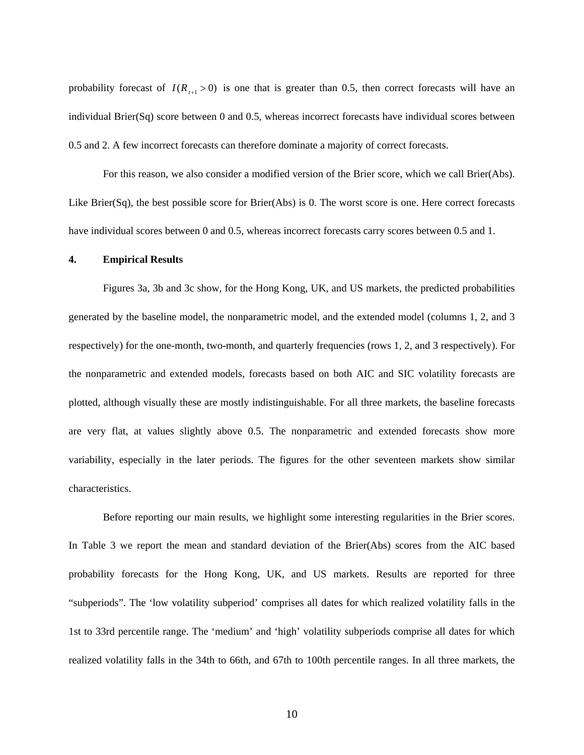probability forecast of  $I(R_{H<sub>1</sub>}>0)$  is one that is greater than 0.5, then correct forecasts will have an individual Brier(Sq) score between 0 and 0.5, whereas incorrect forecasts have individual scores between 0.5 and 2. A few incorrect forecasts can therefore dominate a majority of correct forecasts.

 For this reason, we also consider a modified version of the Brier score, which we call Brier(Abs). Like Brier(Sq), the best possible score for Brier(Abs) is 0. The worst score is one. Here correct forecasts have individual scores between 0 and 0.5, whereas incorrect forecasts carry scores between 0.5 and 1.

#### **4. Empirical Results**

 Figures 3a, 3b and 3c show, for the Hong Kong, UK, and US markets, the predicted probabilities generated by the baseline model, the nonparametric model, and the extended model (columns 1, 2, and 3 respectively) for the one-month, two-month, and quarterly frequencies (rows 1, 2, and 3 respectively). For the nonparametric and extended models, forecasts based on both AIC and SIC volatility forecasts are plotted, although visually these are mostly indistinguishable. For all three markets, the baseline forecasts are very flat, at values slightly above 0.5. The nonparametric and extended forecasts show more variability, especially in the later periods. The figures for the other seventeen markets show similar characteristics.

 Before reporting our main results, we highlight some interesting regularities in the Brier scores. In Table 3 we report the mean and standard deviation of the Brier(Abs) scores from the AIC based probability forecasts for the Hong Kong, UK, and US markets. Results are reported for three "subperiods". The 'low volatility subperiod' comprises all dates for which realized volatility falls in the 1st to 33rd percentile range. The 'medium' and 'high' volatility subperiods comprise all dates for which realized volatility falls in the 34th to 66th, and 67th to 100th percentile ranges. In all three markets, the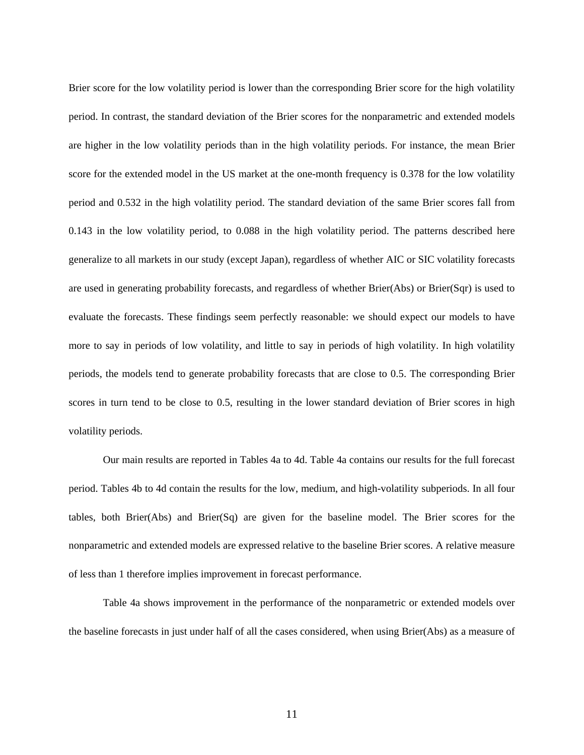Brier score for the low volatility period is lower than the corresponding Brier score for the high volatility period. In contrast, the standard deviation of the Brier scores for the nonparametric and extended models are higher in the low volatility periods than in the high volatility periods. For instance, the mean Brier score for the extended model in the US market at the one-month frequency is 0.378 for the low volatility period and 0.532 in the high volatility period. The standard deviation of the same Brier scores fall from 0.143 in the low volatility period, to 0.088 in the high volatility period. The patterns described here generalize to all markets in our study (except Japan), regardless of whether AIC or SIC volatility forecasts are used in generating probability forecasts, and regardless of whether Brier(Abs) or Brier(Sqr) is used to evaluate the forecasts. These findings seem perfectly reasonable: we should expect our models to have more to say in periods of low volatility, and little to say in periods of high volatility. In high volatility periods, the models tend to generate probability forecasts that are close to 0.5. The corresponding Brier scores in turn tend to be close to 0.5, resulting in the lower standard deviation of Brier scores in high volatility periods.

Our main results are reported in Tables 4a to 4d. Table 4a contains our results for the full forecast period. Tables 4b to 4d contain the results for the low, medium, and high-volatility subperiods. In all four tables, both Brier(Abs) and Brier(Sq) are given for the baseline model. The Brier scores for the nonparametric and extended models are expressed relative to the baseline Brier scores. A relative measure of less than 1 therefore implies improvement in forecast performance.

Table 4a shows improvement in the performance of the nonparametric or extended models over the baseline forecasts in just under half of all the cases considered, when using Brier(Abs) as a measure of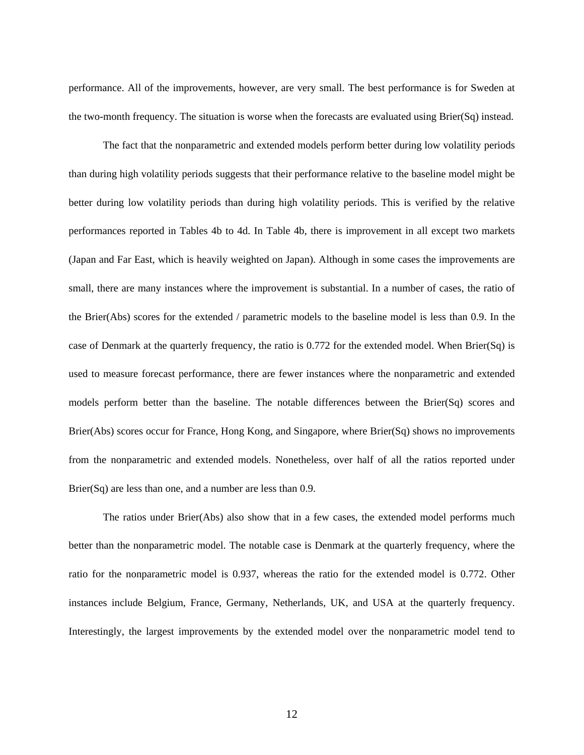performance. All of the improvements, however, are very small. The best performance is for Sweden at the two-month frequency. The situation is worse when the forecasts are evaluated using Brier(Sq) instead.

The fact that the nonparametric and extended models perform better during low volatility periods than during high volatility periods suggests that their performance relative to the baseline model might be better during low volatility periods than during high volatility periods. This is verified by the relative performances reported in Tables 4b to 4d. In Table 4b, there is improvement in all except two markets (Japan and Far East, which is heavily weighted on Japan). Although in some cases the improvements are small, there are many instances where the improvement is substantial. In a number of cases, the ratio of the Brier(Abs) scores for the extended / parametric models to the baseline model is less than 0.9. In the case of Denmark at the quarterly frequency, the ratio is 0.772 for the extended model. When Brier(Sq) is used to measure forecast performance, there are fewer instances where the nonparametric and extended models perform better than the baseline. The notable differences between the Brier(Sq) scores and Brier(Abs) scores occur for France, Hong Kong, and Singapore, where Brier(Sq) shows no improvements from the nonparametric and extended models. Nonetheless, over half of all the ratios reported under Brier(Sq) are less than one, and a number are less than 0.9.

The ratios under Brier(Abs) also show that in a few cases, the extended model performs much better than the nonparametric model. The notable case is Denmark at the quarterly frequency, where the ratio for the nonparametric model is 0.937, whereas the ratio for the extended model is 0.772. Other instances include Belgium, France, Germany, Netherlands, UK, and USA at the quarterly frequency. Interestingly, the largest improvements by the extended model over the nonparametric model tend to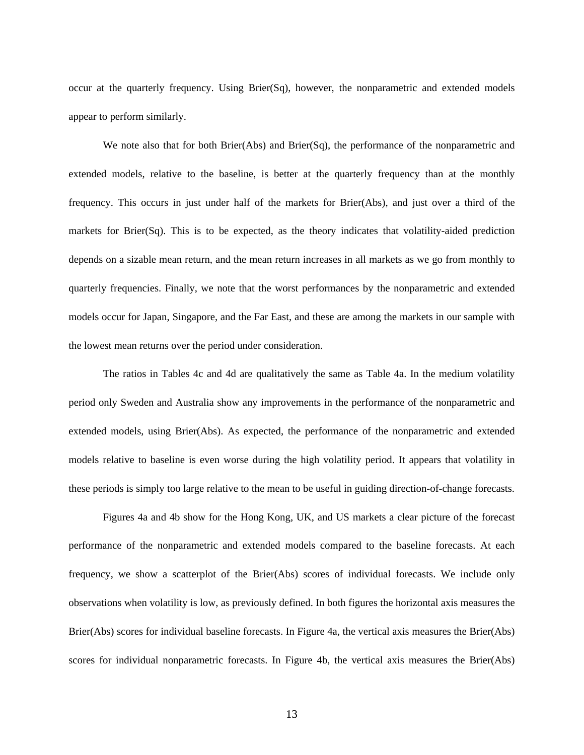occur at the quarterly frequency. Using Brier(Sq), however, the nonparametric and extended models appear to perform similarly.

We note also that for both Brier(Abs) and Brier(Sq), the performance of the nonparametric and extended models, relative to the baseline, is better at the quarterly frequency than at the monthly frequency. This occurs in just under half of the markets for Brier(Abs), and just over a third of the markets for Brier(Sq). This is to be expected, as the theory indicates that volatility-aided prediction depends on a sizable mean return, and the mean return increases in all markets as we go from monthly to quarterly frequencies. Finally, we note that the worst performances by the nonparametric and extended models occur for Japan, Singapore, and the Far East, and these are among the markets in our sample with the lowest mean returns over the period under consideration.

The ratios in Tables 4c and 4d are qualitatively the same as Table 4a. In the medium volatility period only Sweden and Australia show any improvements in the performance of the nonparametric and extended models, using Brier(Abs). As expected, the performance of the nonparametric and extended models relative to baseline is even worse during the high volatility period. It appears that volatility in these periods is simply too large relative to the mean to be useful in guiding direction-of-change forecasts.

Figures 4a and 4b show for the Hong Kong, UK, and US markets a clear picture of the forecast performance of the nonparametric and extended models compared to the baseline forecasts. At each frequency, we show a scatterplot of the Brier(Abs) scores of individual forecasts. We include only observations when volatility is low, as previously defined. In both figures the horizontal axis measures the Brier(Abs) scores for individual baseline forecasts. In Figure 4a, the vertical axis measures the Brier(Abs) scores for individual nonparametric forecasts. In Figure 4b, the vertical axis measures the Brier(Abs)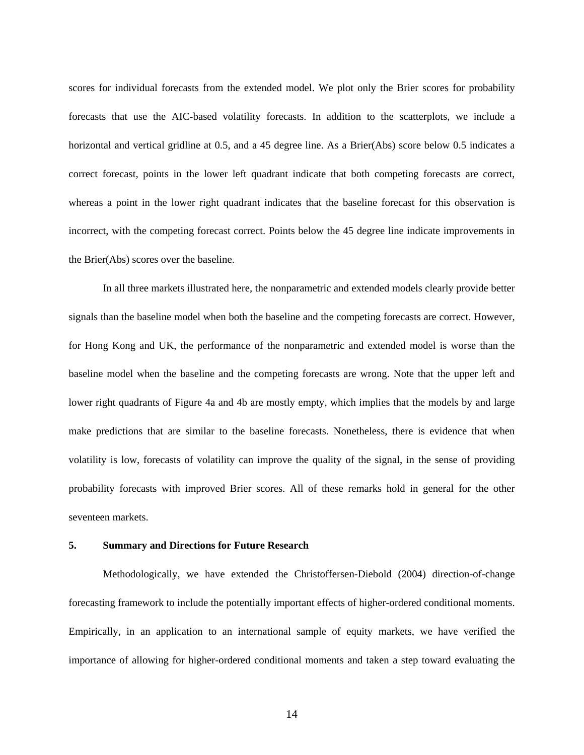scores for individual forecasts from the extended model. We plot only the Brier scores for probability forecasts that use the AIC-based volatility forecasts. In addition to the scatterplots, we include a horizontal and vertical gridline at 0.5, and a 45 degree line. As a Brier(Abs) score below 0.5 indicates a correct forecast, points in the lower left quadrant indicate that both competing forecasts are correct, whereas a point in the lower right quadrant indicates that the baseline forecast for this observation is incorrect, with the competing forecast correct. Points below the 45 degree line indicate improvements in the Brier(Abs) scores over the baseline.

In all three markets illustrated here, the nonparametric and extended models clearly provide better signals than the baseline model when both the baseline and the competing forecasts are correct. However, for Hong Kong and UK, the performance of the nonparametric and extended model is worse than the baseline model when the baseline and the competing forecasts are wrong. Note that the upper left and lower right quadrants of Figure 4a and 4b are mostly empty, which implies that the models by and large make predictions that are similar to the baseline forecasts. Nonetheless, there is evidence that when volatility is low, forecasts of volatility can improve the quality of the signal, in the sense of providing probability forecasts with improved Brier scores. All of these remarks hold in general for the other seventeen markets.

# **5. Summary and Directions for Future Research**

Methodologically, we have extended the Christoffersen-Diebold (2004) direction-of-change forecasting framework to include the potentially important effects of higher-ordered conditional moments. Empirically, in an application to an international sample of equity markets, we have verified the importance of allowing for higher-ordered conditional moments and taken a step toward evaluating the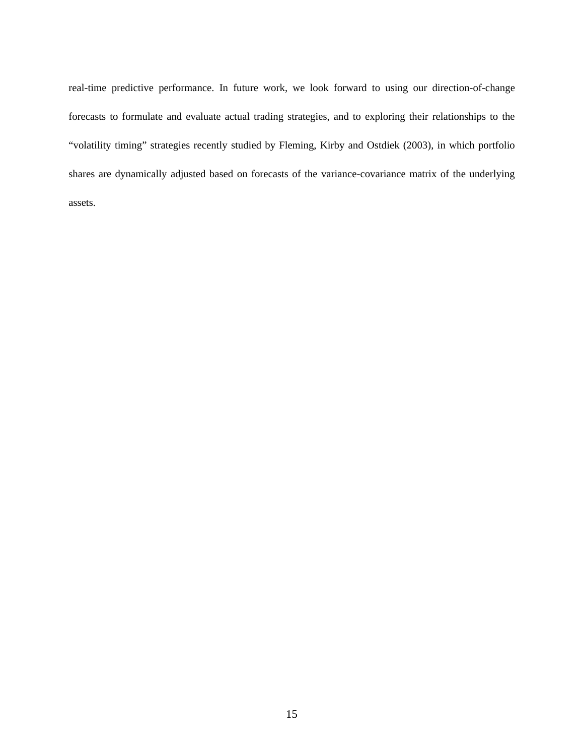real-time predictive performance. In future work, we look forward to using our direction-of-change forecasts to formulate and evaluate actual trading strategies, and to exploring their relationships to the "volatility timing" strategies recently studied by Fleming, Kirby and Ostdiek (2003), in which portfolio shares are dynamically adjusted based on forecasts of the variance-covariance matrix of the underlying assets.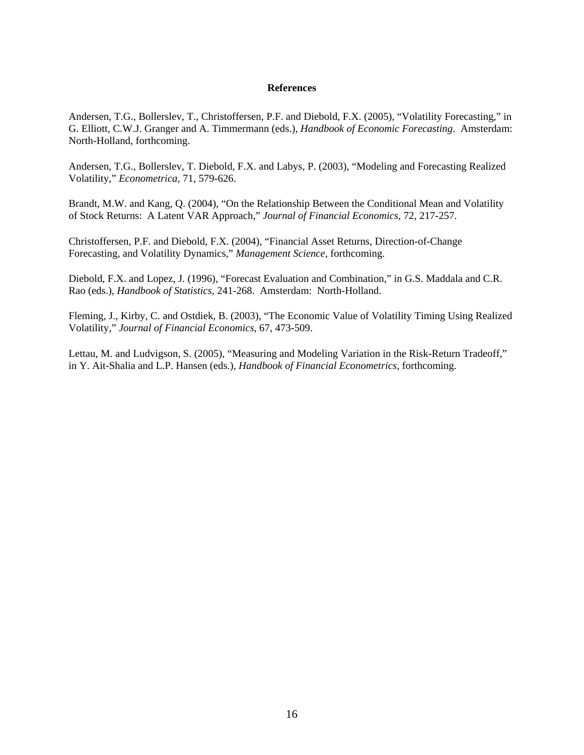# **References**

Andersen, T.G., Bollerslev, T., Christoffersen, P.F. and Diebold, F.X. (2005), "Volatility Forecasting," in G. Elliott, C.W.J. Granger and A. Timmermann (eds.), *Handbook of Economic Forecasting*. Amsterdam: North-Holland, forthcoming.

Andersen, T.G., Bollerslev, T. Diebold, F.X. and Labys, P. (2003), "Modeling and Forecasting Realized Volatility," *Econometrica*, 71, 579-626.

Brandt, M.W. and Kang, Q. (2004), "On the Relationship Between the Conditional Mean and Volatility of Stock Returns: A Latent VAR Approach," *Journal of Financial Economics*, 72, 217-257.

Christoffersen, P.F. and Diebold, F.X. (2004), "Financial Asset Returns, Direction-of-Change Forecasting, and Volatility Dynamics," *Management Science*, forthcoming.

Diebold, F.X. and Lopez, J. (1996), "Forecast Evaluation and Combination," in G.S. Maddala and C.R. Rao (eds.), *Handbook of Statistics*, 241-268. Amsterdam: North-Holland.

Fleming, J., Kirby, C. and Ostdiek, B. (2003), "The Economic Value of Volatility Timing Using Realized Volatility," *Journal of Financial Economics*, 67, 473-509.

Lettau, M. and Ludvigson, S. (2005), "Measuring and Modeling Variation in the Risk-Return Tradeoff," in Y. Ait-Shalia and L.P. Hansen (eds.), *Handbook of Financial Econometrics*, forthcoming.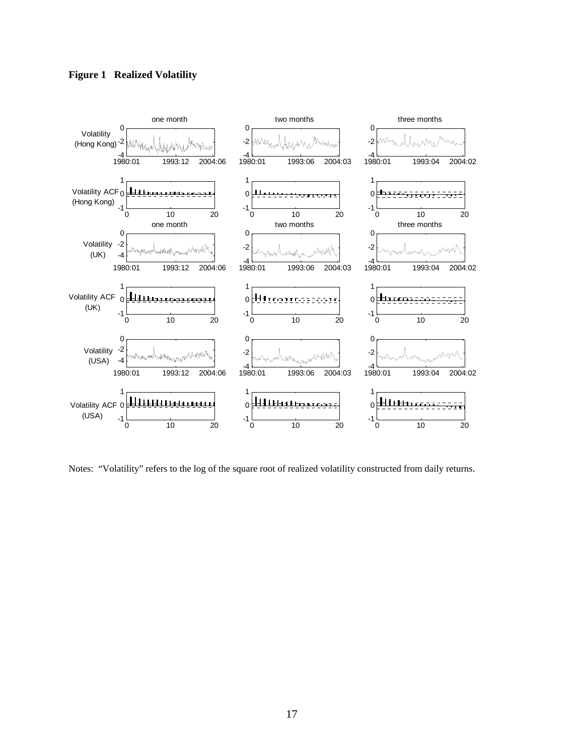# **Figure 1 Realized Volatility**



Notes: "Volatility" refers to the log of the square root of realized volatility constructed from daily returns.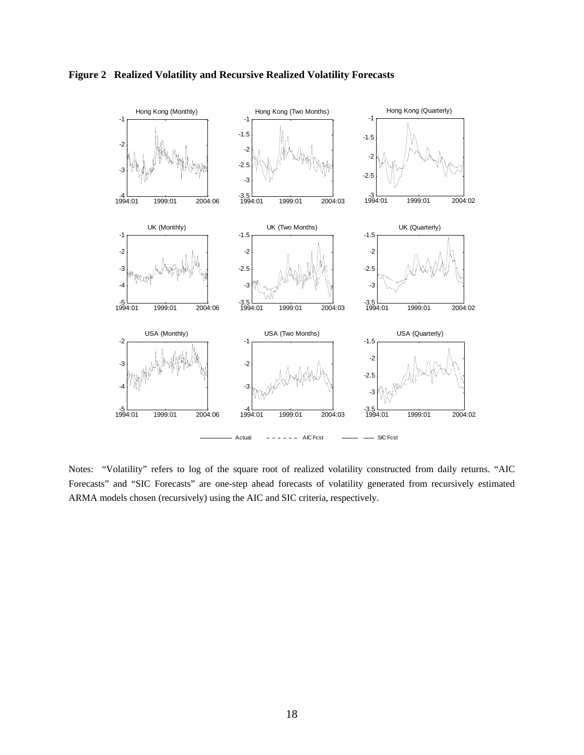

**Figure 2 Realized Volatility and Recursive Realized Volatility Forecasts** 

Notes: "Volatility" refers to log of the square root of realized volatility constructed from daily returns. "AIC Forecasts" and "SIC Forecasts" are one-step ahead forecasts of volatility generated from recursively estimated ARMA models chosen (recursively) using the AIC and SIC criteria, respectively.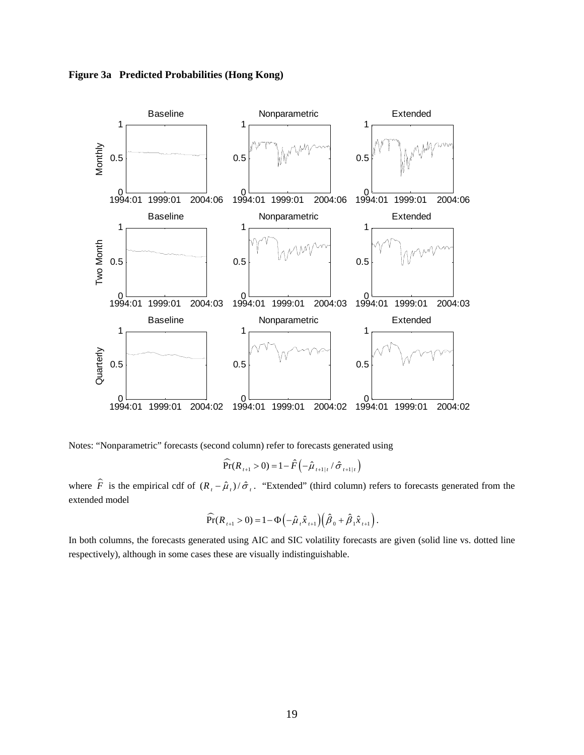**Figure 3a Predicted Probabilities (Hong Kong)** 



Notes: "Nonparametric" forecasts (second column) refer to forecasts generated using

$$
\widehat{\Pr}(R_{t+1} > 0) = 1 - \hat{F}\left(-\hat{\mu}_{t+1|t} / \hat{\sigma}_{t+1|t}\right)
$$

where  $\hat{F}$  is the empirical cdf of  $(R_1 - \hat{\mu}_1)/\hat{\sigma}_1$ . "Extended" (third column) refers to forecasts generated from the extended model

$$
\widehat{\Pr}(R_{t+1} > 0) = 1 - \Phi\left(-\widehat{\mu}_t \widehat{x}_{t+1}\right) \left(\widehat{\beta}_0 + \widehat{\beta}_1 \widehat{x}_{t+1}\right).
$$

In both columns, the forecasts generated using AIC and SIC volatility forecasts are given (solid line vs. dotted line respectively), although in some cases these are visually indistinguishable.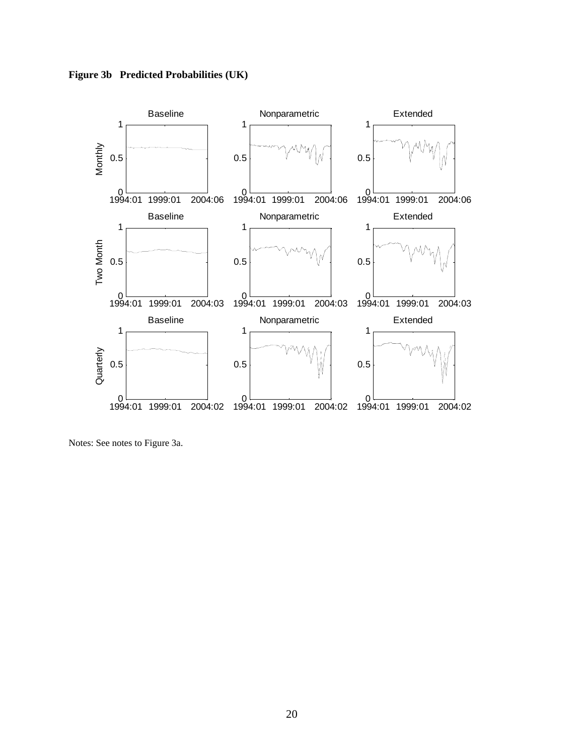**Figure 3b Predicted Probabilities (UK)** 



Notes: See notes to Figure 3a.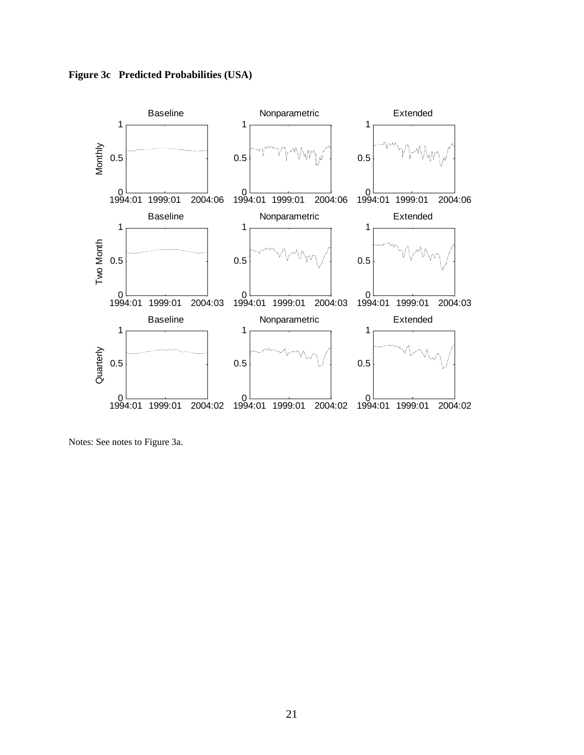**Figure 3c Predicted Probabilities (USA)** 



Notes: See notes to Figure 3a.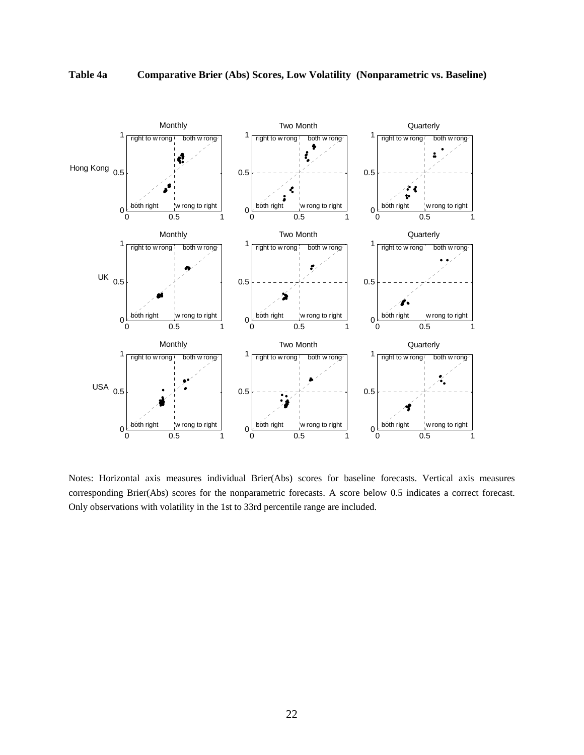

Notes: Horizontal axis measures individual Brier(Abs) scores for baseline forecasts. Vertical axis measures corresponding Brier(Abs) scores for the nonparametric forecasts. A score below 0.5 indicates a correct forecast. Only observations with volatility in the 1st to 33rd percentile range are included.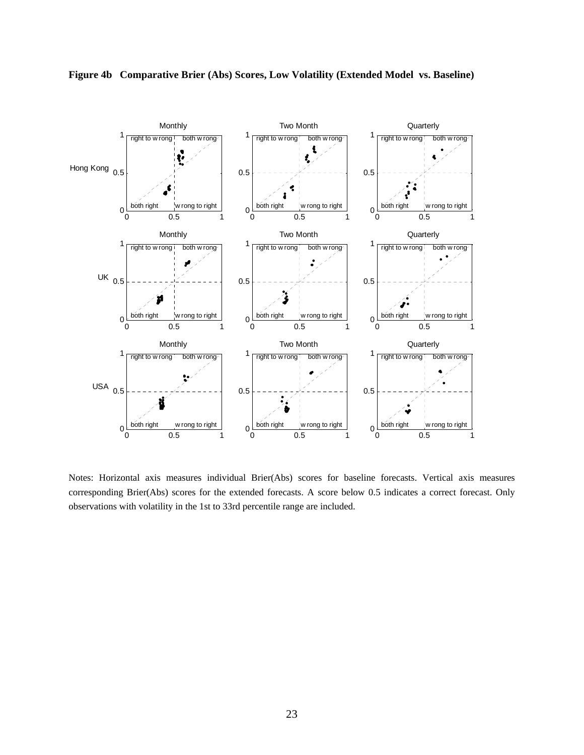

**Figure 4b Comparative Brier (Abs) Scores, Low Volatility (Extended Model vs. Baseline)**

Notes: Horizontal axis measures individual Brier(Abs) scores for baseline forecasts. Vertical axis measures corresponding Brier(Abs) scores for the extended forecasts. A score below 0.5 indicates a correct forecast. Only observations with volatility in the 1st to 33rd percentile range are included.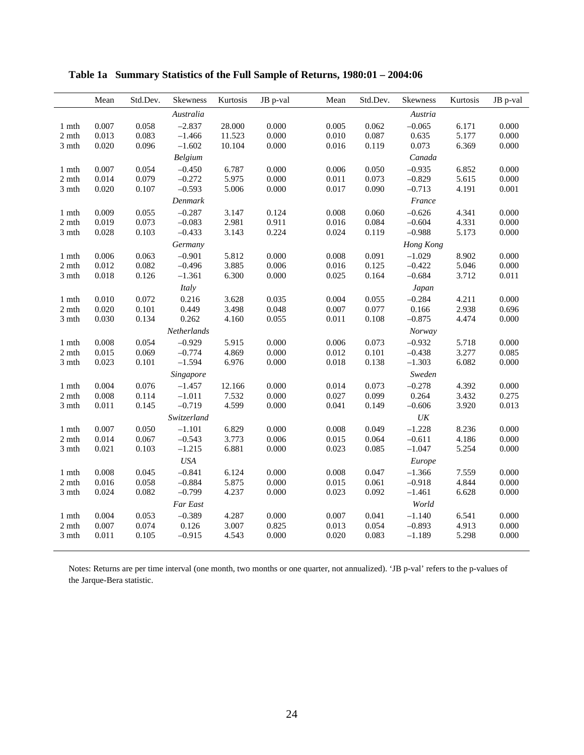|                    | Mean  | Std.Dev. | <b>Skewness</b> | Kurtosis | JB p-val | Mean  | Std.Dev. | <b>Skewness</b>   | Kurtosis | JB p-val |
|--------------------|-------|----------|-----------------|----------|----------|-------|----------|-------------------|----------|----------|
|                    |       |          | Australia       |          |          |       |          | Austria           |          |          |
| 1 mth              | 0.007 | 0.058    | $-2.837$        | 28.000   | 0.000    | 0.005 | 0.062    | $-0.065$          | 6.171    | 0.000    |
| 2 mth              | 0.013 | 0.083    | $-1.466$        | 11.523   | 0.000    | 0.010 | 0.087    | 0.635             | 5.177    | 0.000    |
| 3 mth              | 0.020 | 0.096    | $-1.602$        | 10.104   | 0.000    | 0.016 | 0.119    | 0.073             | 6.369    | 0.000    |
|                    |       |          | Belgium         |          |          |       |          | Canada            |          |          |
| 1 mth              | 0.007 | 0.054    | $-0.450$        | 6.787    | 0.000    | 0.006 | 0.050    | $-0.935$          | 6.852    | 0.000    |
| 2 mth              | 0.014 | 0.079    | $-0.272$        | 5.975    | 0.000    | 0.011 | 0.073    | $-0.829$          | 5.615    | 0.000    |
| 3 mth              | 0.020 | 0.107    | $-0.593$        | 5.006    | 0.000    | 0.017 | 0.090    | $-0.713$          | 4.191    | 0.001    |
|                    |       |          | Denmark         |          |          |       |          | France            |          |          |
| $1 \ \mathsf{mth}$ | 0.009 | 0.055    | $-0.287$        | 3.147    | 0.124    | 0.008 | 0.060    | $-0.626$          | 4.341    | 0.000    |
| 2 mth              | 0.019 | 0.073    | $-0.083$        | 2.981    | 0.911    | 0.016 | 0.084    | $-0.604$          | 4.331    | 0.000    |
| 3 mth              | 0.028 | 0.103    | $-0.433$        | 3.143    | 0.224    | 0.024 | 0.119    | $-0.988$          | 5.173    | 0.000    |
|                    |       |          | Germany         |          |          |       |          | Hong Kong         |          |          |
| 1 mth              | 0.006 | 0.063    | $-0.901$        | 5.812    | 0.000    | 0.008 | 0.091    | $-1.029$          | 8.902    | 0.000    |
| 2 mth              | 0.012 | 0.082    | $-0.496$        | 3.885    | 0.006    | 0.016 | 0.125    | $-0.422$          | 5.046    | 0.000    |
| 3 mth              | 0.018 | 0.126    | $-1.361$        | 6.300    | 0.000    | 0.025 | 0.164    | $-0.684$          | 3.712    | 0.011    |
|                    |       |          | Italy           |          |          |       |          | Japan             |          |          |
| 1 mth              | 0.010 | 0.072    | 0.216           | 3.628    | 0.035    | 0.004 | 0.055    | $-0.284$          | 4.211    | 0.000    |
| 2 mth              | 0.020 | 0.101    | 0.449           | 3.498    | 0.048    | 0.007 | 0.077    | 0.166             | 2.938    | 0.696    |
| 3 mth              | 0.030 | 0.134    | 0.262           | 4.160    | 0.055    | 0.011 | 0.108    | $-0.875$          | 4.474    | 0.000    |
|                    |       |          | Netherlands     |          |          |       |          | <b>Norway</b>     |          |          |
| 1 mth              | 0.008 | 0.054    | $-0.929$        | 5.915    | 0.000    | 0.006 | 0.073    | $-0.932$          | 5.718    | 0.000    |
| 2 mth              | 0.015 | 0.069    | $-0.774$        | 4.869    | 0.000    | 0.012 | 0.101    | $-0.438$          | 3.277    | 0.085    |
| 3 mth              | 0.023 | 0.101    | $-1.594$        | 6.976    | 0.000    | 0.018 | 0.138    | $-1.303$          | 6.082    | 0.000    |
|                    |       |          | Singapore       |          |          |       |          | Sweden            |          |          |
| 1 mth              | 0.004 | 0.076    | $-1.457$        | 12.166   | 0.000    | 0.014 | 0.073    | $-0.278$          | 4.392    | 0.000    |
| 2 mth              | 0.008 | 0.114    | $-1.011$        | 7.532    | 0.000    | 0.027 | 0.099    | 0.264             | 3.432    | 0.275    |
| 3 mth              | 0.011 | 0.145    | $-0.719$        | 4.599    | 0.000    | 0.041 | 0.149    | $-0.606$          | 3.920    | 0.013    |
|                    |       |          | Switzerland     |          |          |       |          | $\ensuremath{UK}$ |          |          |
| 1 mth              | 0.007 | 0.050    | $-1.101$        | 6.829    | 0.000    | 0.008 | 0.049    | $-1.228$          | 8.236    | 0.000    |
| 2 mth              | 0.014 | 0.067    | $-0.543$        | 3.773    | 0.006    | 0.015 | 0.064    | $-0.611$          | 4.186    | 0.000    |
| 3 mth              | 0.021 | 0.103    | $-1.215$        | 6.881    | 0.000    | 0.023 | 0.085    | $-1.047$          | 5.254    | 0.000    |
|                    |       |          | <b>USA</b>      |          |          |       |          | Europe            |          |          |
| 1 mth              | 0.008 | 0.045    | $-0.841$        | 6.124    | 0.000    | 0.008 | 0.047    | $-1.366$          | 7.559    | 0.000    |
| 2 mth              | 0.016 | 0.058    | $-0.884$        | 5.875    | 0.000    | 0.015 | 0.061    | $-0.918$          | 4.844    | 0.000    |
| 3 mth              | 0.024 | 0.082    | $-0.799$        | 4.237    | 0.000    | 0.023 | 0.092    | $-1.461$          | 6.628    | 0.000    |
|                    |       |          | Far East        |          |          |       |          | World             |          |          |
| 1 mth              | 0.004 | 0.053    | $-0.389$        | 4.287    | 0.000    | 0.007 | 0.041    | $-1.140$          | 6.541    | 0.000    |
| 2 mth              | 0.007 | 0.074    | 0.126           | 3.007    | 0.825    | 0.013 | 0.054    | $-0.893$          | 4.913    | 0.000    |
| 3 mth              | 0.011 | 0.105    | $-0.915$        | 4.543    | 0.000    | 0.020 | 0.083    | $-1.189$          | 5.298    | 0.000    |
|                    |       |          |                 |          |          |       |          |                   |          |          |

**Table 1a Summary Statistics of the Full Sample of Returns, 1980:01 – 2004:06** 

Notes: Returns are per time interval (one month, two months or one quarter, not annualized). 'JB p-val' refers to the p-values of the Jarque-Bera statistic.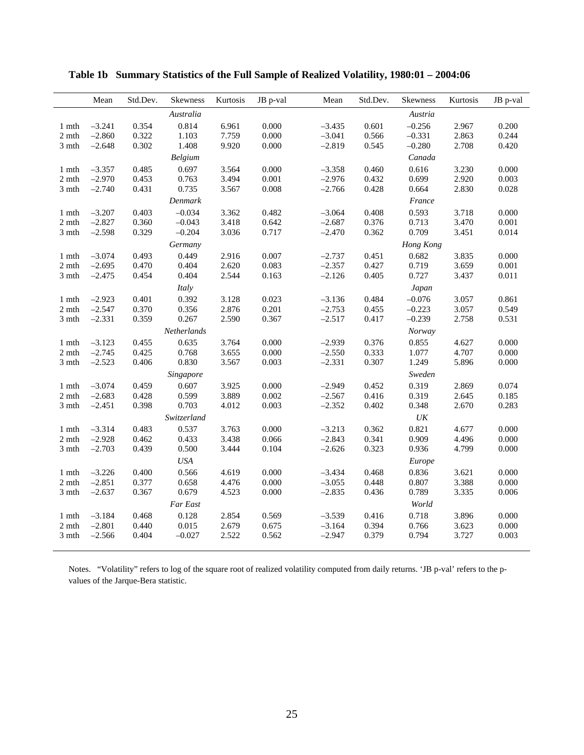|                                     | Mean     | Std.Dev. | <b>Skewness</b> | Kurtosis | JB p-val | Mean     | Std.Dev. | <b>Skewness</b> | Kurtosis | JB p-val |
|-------------------------------------|----------|----------|-----------------|----------|----------|----------|----------|-----------------|----------|----------|
|                                     |          |          | Australia       |          |          |          |          | Austria         |          |          |
| 1 mth                               | $-3.241$ | 0.354    | 0.814           | 6.961    | 0.000    | $-3.435$ | 0.601    | $-0.256$        | 2.967    | 0.200    |
| 2 mth                               | $-2.860$ | 0.322    | 1.103           | 7.759    | 0.000    | $-3.041$ | 0.566    | $-0.331$        | 2.863    | 0.244    |
| 3 mth                               | $-2.648$ | 0.302    | 1.408           | 9.920    | 0.000    | $-2.819$ | 0.545    | $-0.280$        | 2.708    | 0.420    |
|                                     |          |          | Belgium         |          |          |          |          | Canada          |          |          |
| 1 mth                               | $-3.357$ | 0.485    | 0.697           | 3.564    | 0.000    | $-3.358$ | 0.460    | 0.616           | 3.230    | 0.000    |
| 2 mth                               | $-2.970$ | 0.453    | 0.763           | 3.494    | 0.001    | $-2.976$ | 0.432    | 0.699           | 2.920    | 0.003    |
| 3 mth                               | $-2.740$ | 0.431    | 0.735           | 3.567    | 0.008    | $-2.766$ | 0.428    | 0.664           | 2.830    | 0.028    |
|                                     |          |          | Denmark         |          |          |          |          | France          |          |          |
| $1 \text{ } \mathsf{m} \mathsf{th}$ | $-3.207$ | 0.403    | $-0.034$        | 3.362    | 0.482    | $-3.064$ | 0.408    | 0.593           | 3.718    | 0.000    |
| $2\;\rm{mth}$                       | $-2.827$ | 0.360    | $-0.043$        | 3.418    | 0.642    | $-2.687$ | 0.376    | 0.713           | 3.470    | 0.001    |
| 3 mth                               | $-2.598$ | 0.329    | $-0.204$        | 3.036    | 0.717    | $-2.470$ | 0.362    | 0.709           | 3.451    | 0.014    |
|                                     |          |          | Germany         |          |          |          |          | Hong Kong       |          |          |
| 1 mth                               | $-3.074$ | 0.493    | 0.449           | 2.916    | 0.007    | $-2.737$ | 0.451    | 0.682           | 3.835    | 0.000    |
| $2\;\rm{mth}$                       | $-2.695$ | 0.470    | 0.404           | 2.620    | 0.083    | $-2.357$ | 0.427    | 0.719           | 3.659    | 0.001    |
| 3 mth                               | $-2.475$ | 0.454    | 0.404           | 2.544    | 0.163    | $-2.126$ | 0.405    | 0.727           | 3.437    | 0.011    |
|                                     |          |          | Italy           |          |          |          |          | Japan           |          |          |
| $1 \ \rm{mth}$                      | $-2.923$ | 0.401    | 0.392           | 3.128    | 0.023    | $-3.136$ | 0.484    | $-0.076$        | 3.057    | 0.861    |
| $2\;\rm{mth}$                       | $-2.547$ | 0.370    | 0.356           | 2.876    | 0.201    | $-2.753$ | 0.455    | $-0.223$        | 3.057    | 0.549    |
| 3 mth                               | $-2.331$ | 0.359    | 0.267           | 2.590    | 0.367    | $-2.517$ | 0.417    | $-0.239$        | 2.758    | 0.531    |
|                                     |          |          | Netherlands     |          |          |          |          | Norway          |          |          |
| 1 mth                               | $-3.123$ | 0.455    | 0.635           | 3.764    | 0.000    | $-2.939$ | 0.376    | 0.855           | 4.627    | 0.000    |
| $2 \;\rm{mth}$                      | $-2.745$ | 0.425    | 0.768           | 3.655    | 0.000    | $-2.550$ | 0.333    | 1.077           | 4.707    | 0.000    |
| 3 mth                               | $-2.523$ | 0.406    | 0.830           | 3.567    | 0.003    | $-2.331$ | 0.307    | 1.249           | 5.896    | 0.000    |
|                                     |          |          | Singapore       |          |          |          |          | Sweden          |          |          |
| 1 mth                               | $-3.074$ | 0.459    | 0.607           | 3.925    | 0.000    | $-2.949$ | 0.452    | 0.319           | 2.869    | 0.074    |
| $2\;\rm{mth}$                       | $-2.683$ | 0.428    | 0.599           | 3.889    | 0.002    | $-2.567$ | 0.416    | 0.319           | 2.645    | 0.185    |
| 3 mth                               | $-2.451$ | 0.398    | 0.703           | 4.012    | 0.003    | $-2.352$ | 0.402    | 0.348           | 2.670    | 0.283    |
|                                     |          |          | Switzerland     |          |          |          |          | $U\!K$          |          |          |
| $1 \text{ } \mathsf{m} \mathsf{th}$ | $-3.314$ | 0.483    | 0.537           | 3.763    | 0.000    | $-3.213$ | 0.362    | 0.821           | 4.677    | 0.000    |
| 2 mth                               | $-2.928$ | 0.462    | 0.433           | 3.438    | 0.066    | $-2.843$ | 0.341    | 0.909           | 4.496    | 0.000    |
| 3 mth                               | $-2.703$ | 0.439    | 0.500           | 3.444    | 0.104    | $-2.626$ | 0.323    | 0.936           | 4.799    | 0.000    |
|                                     |          |          | USA             |          |          |          |          | Europe          |          |          |
| 1 mth                               | $-3.226$ | 0.400    | 0.566           | 4.619    | 0.000    | $-3.434$ | 0.468    | 0.836           | 3.621    | 0.000    |
| 2 mth                               | $-2.851$ | 0.377    | 0.658           | 4.476    | 0.000    | $-3.055$ | 0.448    | 0.807           | 3.388    | 0.000    |
| 3 mth                               | $-2.637$ | 0.367    | 0.679           | 4.523    | 0.000    | $-2.835$ | 0.436    | 0.789           | 3.335    | 0.006    |
|                                     |          |          | Far East        |          |          |          |          | World           |          |          |
| 1 mth                               | $-3.184$ | 0.468    | 0.128           | 2.854    | 0.569    | $-3.539$ | 0.416    | 0.718           | 3.896    | 0.000    |
| 2 mth                               | $-2.801$ | 0.440    | 0.015           | 2.679    | 0.675    | $-3.164$ | 0.394    | 0.766           | 3.623    | 0.000    |
| 3 mth                               | $-2.566$ | 0.404    | $-0.027$        | 2.522    | 0.562    | $-2.947$ | 0.379    | 0.794           | 3.727    | 0.003    |
|                                     |          |          |                 |          |          |          |          |                 |          |          |

**Table 1b Summary Statistics of the Full Sample of Realized Volatility, 1980:01 – 2004:06** 

Notes. "Volatility" refers to log of the square root of realized volatility computed from daily returns. 'JB p-val' refers to the pvalues of the Jarque-Bera statistic.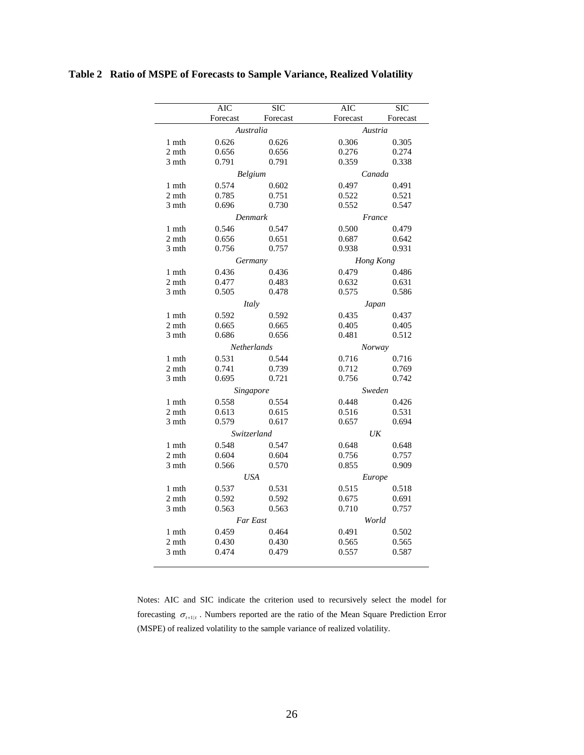|                | AIC      | $\overline{\text{SIC}}$ | AIC       | SIC      |  |  |  |  |
|----------------|----------|-------------------------|-----------|----------|--|--|--|--|
|                | Forecast | Forecast                | Forecast  | Forecast |  |  |  |  |
|                |          | Australia               | Austria   |          |  |  |  |  |
| 1 mth          | 0.626    | 0.626                   | 0.306     | 0.305    |  |  |  |  |
| 2 mth          | 0.656    | 0.656                   | 0.276     | 0.274    |  |  |  |  |
| 3 mth          | 0.791    | 0.791                   | 0.359     | 0.338    |  |  |  |  |
|                |          | Belgium                 |           | Canada   |  |  |  |  |
| 1 mth          | 0.574    | 0.602                   | 0.497     | 0.491    |  |  |  |  |
| 2 mth          | 0.785    | 0.751                   | 0.522     | 0.521    |  |  |  |  |
| 3 mth          | 0.696    | 0.730                   | 0.552     | 0.547    |  |  |  |  |
|                |          | Denmark                 | France    |          |  |  |  |  |
| 1 mth          | 0.546    | 0.547                   | 0.500     | 0.479    |  |  |  |  |
| 2 mth          | 0.656    | 0.651                   | 0.687     | 0.642    |  |  |  |  |
| 3 mth          | 0.756    | 0.757                   | 0.938     | 0.931    |  |  |  |  |
|                |          | Germany                 | Hong Kong |          |  |  |  |  |
| 1 mth          | 0.436    | 0.436                   | 0.479     | 0.486    |  |  |  |  |
| 2 mth          | 0.477    | 0.483                   | 0.632     | 0.631    |  |  |  |  |
| 3 mth          | 0.505    | 0.478                   | 0.575     | 0.586    |  |  |  |  |
|                |          | Italy                   |           | Japan    |  |  |  |  |
| 1 mth          | 0.592    | 0.592                   | 0.435     | 0.437    |  |  |  |  |
| 2 mth          | 0.665    | 0.665                   | 0.405     | 0.405    |  |  |  |  |
| 3 mth          | 0.686    | 0.656                   | 0.481     | 0.512    |  |  |  |  |
|                |          | <b>Netherlands</b>      |           | Norway   |  |  |  |  |
| 1 mth          | 0.531    | 0.544                   | 0.716     | 0.716    |  |  |  |  |
| $2 \;\rm{mth}$ | 0.741    | 0.739                   | 0.712     | 0.769    |  |  |  |  |
| 3 mth          | 0.695    | 0.721                   | 0.756     | 0.742    |  |  |  |  |
|                |          | Singapore               | Sweden    |          |  |  |  |  |
| 1 mth          | 0.558    | 0.554                   | 0.448     | 0.426    |  |  |  |  |
| 2 mth          | 0.613    | 0.615                   | 0.516     | 0.531    |  |  |  |  |
| 3 mth          | 0.579    | 0.617                   | 0.657     | 0.694    |  |  |  |  |
|                |          | <i>Switzerland</i>      |           | UK       |  |  |  |  |
| 1 mth          | 0.548    | 0.547                   | 0.648     | 0.648    |  |  |  |  |
| 2 mth          | 0.604    | 0.604                   | 0.756     | 0.757    |  |  |  |  |
| 3 mth          | 0.566    | 0.570                   | 0.855     | 0.909    |  |  |  |  |
|                |          | <b>USA</b>              | Europe    |          |  |  |  |  |
| 1 mth          | 0.537    | 0.531                   | 0.515     | 0.518    |  |  |  |  |
| 2 mth          | 0.592    | 0.592                   | 0.675     | 0.691    |  |  |  |  |
| 3 mth          | 0.563    | 0.563                   | 0.710     | 0.757    |  |  |  |  |
|                |          | Far East                |           | World    |  |  |  |  |
| 1 mth          | 0.459    | 0.464                   | 0.491     | 0.502    |  |  |  |  |
| 2 mth          | 0.430    | 0.430                   | 0.565     | 0.565    |  |  |  |  |
| 3 mth          | 0.474    | 0.479                   | 0.557     | 0.587    |  |  |  |  |
|                |          |                         |           |          |  |  |  |  |

**Table 2 Ratio of MSPE of Forecasts to Sample Variance, Realized Volatility** 

Notes: AIC and SIC indicate the criterion used to recursively select the model for forecasting  $\sigma_{t+1|t}$ . Numbers reported are the ratio of the Mean Square Prediction Error (MSPE) of realized volatility to the sample variance of realized volatility.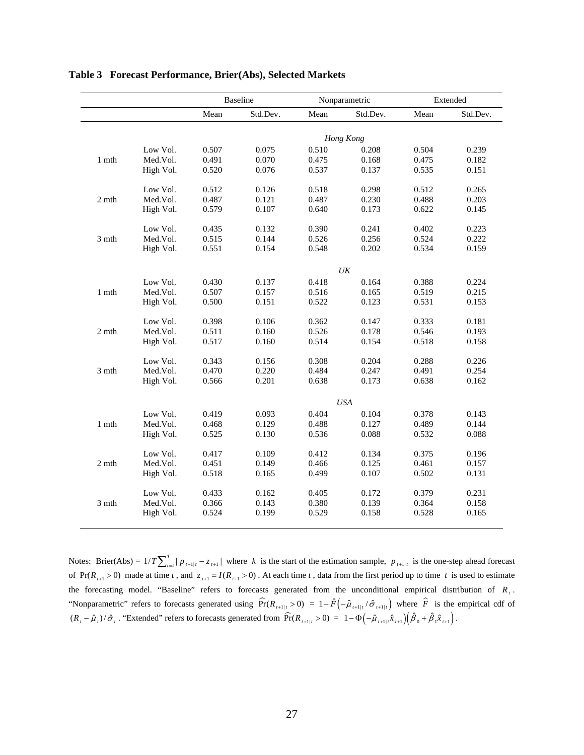|              |           |       | <b>Baseline</b> |       | Nonparametric | Extended |          |  |
|--------------|-----------|-------|-----------------|-------|---------------|----------|----------|--|
|              |           | Mean  | Std.Dev.        | Mean  | Std.Dev.      | Mean     | Std.Dev. |  |
|              |           |       |                 |       | Hong Kong     |          |          |  |
|              | Low Vol.  | 0.507 | 0.075           | 0.510 | 0.208         | 0.504    | 0.239    |  |
| $1$ mth $\,$ | Med.Vol.  | 0.491 | 0.070           | 0.475 | 0.168         | 0.475    | 0.182    |  |
|              | High Vol. | 0.520 | 0.076           | 0.537 | 0.137         | 0.535    | 0.151    |  |
|              | Low Vol.  | 0.512 | 0.126           | 0.518 | 0.298         | 0.512    | 0.265    |  |
| 2 mth        | Med.Vol.  | 0.487 | 0.121           | 0.487 | 0.230         | 0.488    | 0.203    |  |
|              | High Vol. | 0.579 | 0.107           | 0.640 | 0.173         | 0.622    | 0.145    |  |
|              | Low Vol.  | 0.435 | 0.132           | 0.390 | 0.241         | 0.402    | 0.223    |  |
| 3 mth        | Med.Vol.  | 0.515 | 0.144           | 0.526 | 0.256         | 0.524    | 0.222    |  |
|              | High Vol. | 0.551 | 0.154           | 0.548 | 0.202         | 0.534    | 0.159    |  |
|              |           |       |                 |       | $U\bar{K}$    |          |          |  |
|              | Low Vol.  | 0.430 | 0.137           | 0.418 | 0.164         | 0.388    | 0.224    |  |
| 1 mth        | Med.Vol.  | 0.507 | 0.157           | 0.516 | 0.165         | 0.519    | 0.215    |  |
|              | High Vol. | 0.500 | 0.151           | 0.522 | 0.123         | 0.531    | 0.153    |  |
|              | Low Vol.  | 0.398 | 0.106           | 0.362 | 0.147         | 0.333    | 0.181    |  |
| 2 mth        | Med.Vol.  | 0.511 | 0.160           | 0.526 | 0.178         | 0.546    | 0.193    |  |
|              | High Vol. | 0.517 | 0.160           | 0.514 | 0.154         | 0.518    | 0.158    |  |
|              | Low Vol.  | 0.343 | 0.156           | 0.308 | 0.204         | 0.288    | 0.226    |  |
| 3 mth        | Med.Vol.  | 0.470 | 0.220           | 0.484 | 0.247         | 0.491    | 0.254    |  |
|              | High Vol. | 0.566 | 0.201           | 0.638 | 0.173         | 0.638    | 0.162    |  |
|              |           |       |                 |       | <b>USA</b>    |          |          |  |
|              | Low Vol.  | 0.419 | 0.093           | 0.404 | 0.104         | 0.378    | 0.143    |  |
| 1 mth        | Med.Vol.  | 0.468 | 0.129           | 0.488 | 0.127         | 0.489    | 0.144    |  |
|              | High Vol. | 0.525 | 0.130           | 0.536 | 0.088         | 0.532    | 0.088    |  |
|              | Low Vol.  | 0.417 | 0.109           | 0.412 | 0.134         | 0.375    | 0.196    |  |
| 2 mth        | Med.Vol.  | 0.451 | 0.149           | 0.466 | 0.125         | 0.461    | 0.157    |  |
|              | High Vol. | 0.518 | 0.165           | 0.499 | 0.107         | 0.502    | 0.131    |  |
|              | Low Vol.  | 0.433 | 0.162           | 0.405 | 0.172         | 0.379    | 0.231    |  |
| 3 mth        | Med.Vol.  | 0.366 | 0.143           | 0.380 | 0.139         | 0.364    | 0.158    |  |
|              | High Vol. | 0.524 | 0.199           | 0.529 | 0.158         | 0.528    | 0.165    |  |

#### **Table 3 Forecast Performance, Brier(Abs), Selected Markets**

Notes: Brier(Abs) =  $1/T \sum_{t=k}^{T} |p_{t+1|t} - z_{t+1}|$  where *k* is the start of the estimation sample,  $p_{t+1|t}$  is the one-step ahead forecast of  $Pr(R_{t+1} > 0)$  made at time *t*, and  $z_{t+1} = I(R_{t+1} > 0)$ . At each time *t*, data from the first period up to time *t* is used to estimate the forecasting model. "Baseline" refers to forecasts generated from the unconditional empirical distribution of  $R_t$ . "Nonparametric" refers to forecasts generated using  $\widehat{Pr}( R_{t+1|t} > 0 ) = 1 - \widehat{F} \left( - \widehat{\mu}_{t+1|t} / \widehat{\sigma}_{t+1|t} \right)$  where  $\widehat{F}$  is the empirical cdf of  $(R_{t} - \hat{\mu}_{t})/\hat{\sigma}_{t}$ . "Extended" refers to forecasts generated from  $\widehat{Pr}(R_{t+1|t} > 0) = 1 - \Phi(-\hat{\mu}_{t+1|t}\hat{x}_{t+1})(\hat{\beta}_{0} + \hat{\beta}_{1}\hat{x}_{t+1})$ .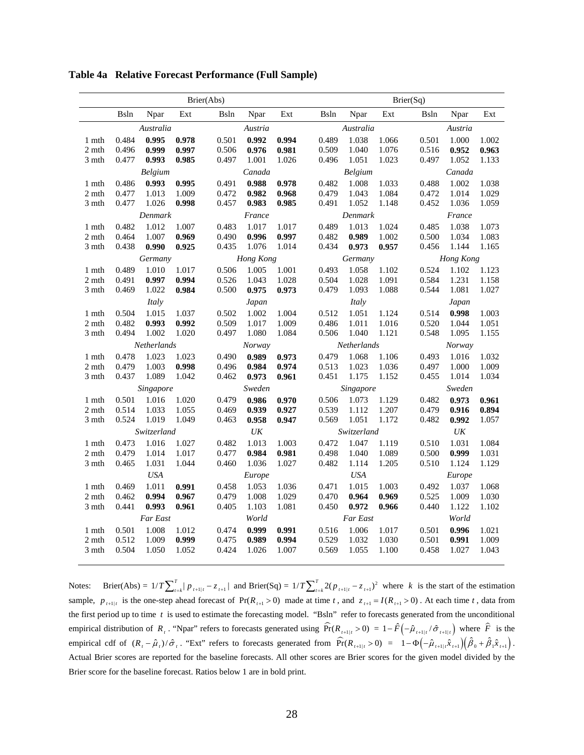|                |                |                    |                | Brier(Abs)     |                                   |                |                |                  |                | Brier(Sq)      |                                   |                |  |  |
|----------------|----------------|--------------------|----------------|----------------|-----------------------------------|----------------|----------------|------------------|----------------|----------------|-----------------------------------|----------------|--|--|
|                | <b>B</b> sln   | Npar               | Ext            | Bsln           | Npar                              | Ext            | Bsln           | Npar             | Ext            | Bsln           | Npar                              | Ext            |  |  |
|                |                | Australia          |                |                | Austria                           |                |                | Australia        |                |                | Austria                           |                |  |  |
| 1 mth          | 0.484          | 0.995              | 0.978          | 0.501          | 0.992                             | 0.994          | 0.489          | 1.038            | 1.066          | 0.501          | 1.000                             | 1.002          |  |  |
| 2 mth          | 0.496          | 0.999              | 0.997          | 0.506          | 0.976                             | 0.981          | 0.509          | 1.040            | 1.076          | 0.516          | 0.952                             | 0.963          |  |  |
| 3 mth          | 0.477          | 0.993              | 0.985          | 0.497          | 1.001                             | 1.026          | 0.496          | 1.051            | 1.023          | 0.497          | 1.052                             | 1.133          |  |  |
|                | Belgium        |                    |                |                | Canada                            |                |                | Belgium          |                |                | Canada                            |                |  |  |
| 1 mth          | 0.486          | 0.993              | 0.995          | 0.491          | 0.988                             | 0.978          | 0.482          | 1.008            | 1.033          | 0.488          | 1.002                             | 1.038          |  |  |
| 2 mth          | 0.477<br>0.477 | 1.013              | 1.009          | 0.472<br>0.457 | 0.982<br>0.983                    | 0.968          | 0.479<br>0.491 | 1.043            | 1.084          | 0.472<br>0.452 | 1.014                             | 1.029          |  |  |
| 3 mth          |                | 1.026<br>Denmark   | 0.998          |                | France                            | 0.985          |                | 1.052<br>Denmark | 1.148          |                | 1.036<br>France                   | 1.059          |  |  |
| 1 mth          | 0.482          | 1.012              | 1.007          | 0.483          | 1.017                             | 1.017          | 0.489          | 1.013            | 1.024          | 0.485          | 1.038                             | 1.073          |  |  |
| 2 mth          | 0.464          | 1.007              | 0.969          | 0.490          | 0.996                             | 0.997          | 0.482          | 0.989            | 1.002          | 0.500          | 1.034                             | 1.083          |  |  |
| 3 mth          | 0.438          | 0.990              | 0.925          | 0.435          | 1.076                             | 1.014          | 0.434          | 0.973            | 0.957          | 0.456          | 1.144                             | 1.165          |  |  |
| Germany        |                |                    |                |                | Hong Kong                         |                |                | Germany          |                |                | Hong Kong                         |                |  |  |
| 1 mth          | 0.489          | 1.010              | 1.017          | 0.506          | 1.005                             | 1.001          | 0.493          | 1.058            | 1.102          | 0.524          | 1.102                             | 1.123          |  |  |
| 2 mth          | 0.491          | 0.997              | 0.994          | 0.526          | 1.043                             | 1.028          | 0.504          | 1.028            | 1.091          | 0.584          | 1.231                             | 1.158          |  |  |
| 3 mth          | 0.469          | 1.022              | 0.984          | 0.500          | 0.975                             | 0.973          | 0.479          | 1.093            | 1.088          | 0.544          | 1.081                             | 1.027          |  |  |
|                | Italy          |                    |                |                | Japan                             |                |                | Italy            |                |                | Japan                             |                |  |  |
| 1 mth          | 0.504          | 1.015              | 1.037          | 0.502          | 1.002                             | 1.004          | 0.512          | 1.051            | 1.124          | 0.514          | 0.998                             | 1.003          |  |  |
| 2 mth          | 0.482          | 0.993              | 0.992          | 0.509          | 1.017                             | 1.009          | 0.486          | 1.011            | 1.016          | 0.520          | 1.044                             | 1.051          |  |  |
| 3 mth          | 0.494          | 1.002              | 1.020          | 0.497          | 1.080                             | 1.084          | 0.506          | 1.040            | 1.121          | 0.548          | 1.095                             | 1.155          |  |  |
|                |                | Netherlands        |                |                | Norway                            |                |                | Netherlands      |                |                | Norway                            |                |  |  |
| $1$ mth        | 0.478          | 1.023              | 1.023          | 0.490          | 0.989                             | 0.973          | 0.479          | 1.068            | 1.106          | 0.493          | 1.016                             | 1.032          |  |  |
| 2 mth          | 0.479          | 1.003              | 0.998          | 0.496          | 0.984                             | 0.974          | 0.513          | 1.023            | 1.036          | 0.497          | 1.000                             | 1.009          |  |  |
| 3 mth          | 0.437          | 1.089              | 1.042          | 0.462          | 0.973                             | 0.961          | 0.451          | 1.175            | 1.152          | 0.455          | 1.014                             | 1.034          |  |  |
|                | 0.501          | Singapore<br>1.016 |                | 0.479          | Sweden                            |                | 0.506          | Singapore        |                |                | Sweden                            |                |  |  |
| 1 mth<br>2 mth | 0.514          | 1.033              | 1.020<br>1.055 | 0.469          | 0.986<br>0.939                    | 0.970<br>0.927 | 0.539          | 1.073<br>1.112   | 1.129<br>1.207 | 0.482<br>0.479 | 0.973<br>0.916                    | 0.961<br>0.894 |  |  |
| 3 mth          | 0.524          | 1.019              | 1.049          | 0.463          | 0.958                             | 0.947          | 0.569          | 1.051            | 1.172          | 0.482          | 0.992                             | 1.057          |  |  |
|                |                | Switzerland        |                |                | $\ensuremath{\textit{UK}}\xspace$ |                |                | Switzerland      |                |                | $\ensuremath{\textit{UK}}\xspace$ |                |  |  |
| 1 mth          | 0.473          | 1.016              | 1.027          | 0.482          | 1.013                             | 1.003          | 0.472          | 1.047            | 1.119          | 0.510          | 1.031                             | 1.084          |  |  |
| 2 mth          | 0.479          | 1.014              | 1.017          | 0.477          | 0.984                             | 0.981          | 0.498          | 1.040            | 1.089          | 0.500          | 0.999                             | 1.031          |  |  |
| 3 mth          | 0.465          | 1.031              | 1.044          | 0.460          | 1.036                             | 1.027          | 0.482          | 1.114            | 1.205          | 0.510          | 1.124                             | 1.129          |  |  |
|                |                | <b>USA</b>         |                |                | Europe                            |                |                | <b>USA</b>       |                |                | Europe                            |                |  |  |
| 1 mth          | 0.469          | 1.011              | 0.991          | 0.458          | 1.053                             | 1.036          | 0.471          | 1.015            | 1.003          | 0.492          | 1.037                             | 1.068          |  |  |
| 2 mth          | 0.462          | 0.994              | 0.967          | 0.479          | 1.008                             | 1.029          | 0.470          | 0.964            | 0.969          | 0.525          | 1.009                             | 1.030          |  |  |
| 3 mth          | 0.441          | 0.993              | 0.961          | 0.405          | 1.103                             | 1.081          | 0.450          | 0.972            | 0.966          | 0.440          | 1.122                             | 1.102          |  |  |
|                |                | Far East           |                |                | World                             |                |                | Far East         |                |                | World                             |                |  |  |
| 1 mth          | 0.501          | 1.008              | 1.012          | 0.474          | 0.999                             | 0.991          | 0.516          | 1.006            | 1.017          | 0.501          | 0.996                             | 1.021          |  |  |
| 2 mth          | 0.512          | 1.009              | 0.999          | 0.475          | 0.989                             | 0.994          | 0.529          | 1.032            | 1.030          | 0.501          | 0.991                             | 1.009          |  |  |
| 3 mth          | 0.504          | 1.050              | 1.052          | 0.424          | 1.026                             | 1.007          | 0.569          | 1.055            | 1.100          | 0.458          | 1.027                             | 1.043          |  |  |

**Table 4a Relative Forecast Performance (Full Sample)** 

Notes: Brier(Abs) =  $1/T \sum_{t=k}^{T} |p_{t+1|t} - z_{t+1}|$  and Brier(Sq) =  $1/T \sum_{t=k}^{T} 2(p_{t+1|t} - z_{t+1})^2$  where *k* is the start of the estimation sample,  $p_{t+1|t}$  is the one-step ahead forecast of  $Pr(R_{t+1} > 0)$  made at time *t*, and  $z_{t+1} = I(R_{t+1} > 0)$ . At each time *t*, data from the first period up to time *t* is used to estimate the forecasting model. "Bsln" refer to forecasts generated from the unconditional empirical distribution of *R<sub>t</sub>*. "Npar" refers to forecasts generated using  $\widehat{Pr}(R_{t+1|t} > 0) = 1 - \widehat{F}(-\widehat{\mu}_{t+1|t} / \widehat{\sigma}_{t+1|t})$  where  $\widehat{F}$  is the empirical cdf of  $(R_t - \hat{\mu}_t)/\hat{\sigma}_t$ . "Ext" refers to forecasts generated from  $\widehat{\text{Pr}}(R_{t+1|t} > 0) = 1 - \Phi(-\hat{\mu}_{t+1|t}\hat{x}_{t+1})(\hat{\beta}_0 + \hat{\beta}_1\hat{x}_{t+1}).$ Actual Brier scores are reported for the baseline forecasts. All other scores are Brier scores for the given model divided by the Brier score for the baseline forecast. Ratios below 1 are in bold print.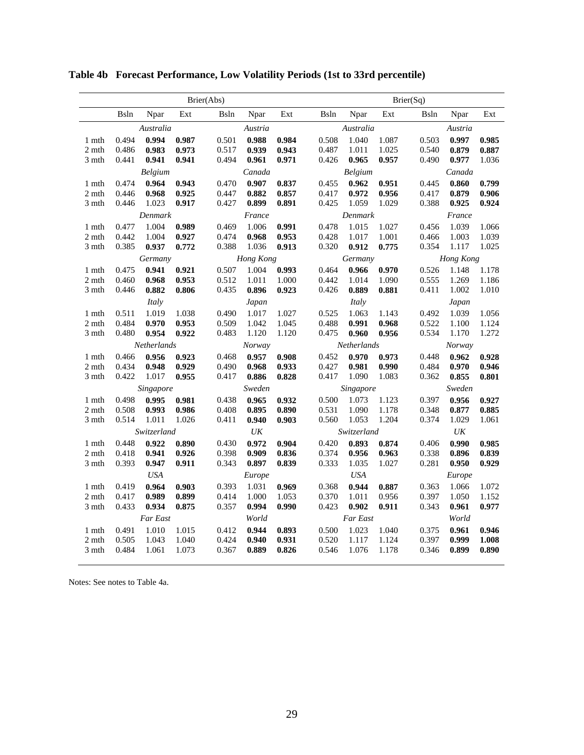|                |                |                    |                | Brier(Abs)     |                 |                | Brier(Sq)      |                    |                |                |                   |                |  |
|----------------|----------------|--------------------|----------------|----------------|-----------------|----------------|----------------|--------------------|----------------|----------------|-------------------|----------------|--|
|                | Bsln           | Npar               | Ext            | Bsln           | Npar            | Ext            | <b>Bsln</b>    | Npar               | Ext            | <b>B</b> sln   | Npar              | Ext            |  |
|                |                | Australia          |                |                | Austria         |                |                | Australia          |                |                | Austria           |                |  |
| 1 mth          | 0.494          | 0.994              | 0.987          | 0.501          | 0.988           | 0.984          | 0.508          | 1.040              | 1.087          | 0.503          | 0.997             | 0.985          |  |
| 2 mth          | 0.486          | 0.983              | 0.973          | 0.517          | 0.939           | 0.943          | 0.487          | 1.011              | 1.025          | 0.540          | 0.879             | 0.887          |  |
| 3 mth          | 0.441          | 0.941              | 0.941          | 0.494          | 0.961           | 0.971          | 0.426          | 0.965              | 0.957          | 0.490          | 0.977             | 1.036          |  |
|                | Belgium        |                    |                | Canada         |                 |                |                | Belgium            |                |                | Canada            |                |  |
| 1 mth          | 0.474          | 0.964              | 0.943          | 0.470          | 0.907           | 0.837          | 0.455          | 0.962              | 0.951          | 0.445          | 0.860             | 0.799          |  |
| 2 mth<br>3 mth | 0.446<br>0.446 | 0.968<br>1.023     | 0.925<br>0.917 | 0.447<br>0.427 | 0.882<br>0.899  | 0.857<br>0.891 | 0.417<br>0.425 | 0.972<br>1.059     | 0.956<br>1.029 | 0.417<br>0.388 | 0.879<br>0.925    | 0.906<br>0.924 |  |
|                |                | Denmark            |                |                | France          |                |                | Denmark            |                |                | France            |                |  |
| 1 mth          | 0.477          | 1.004              | 0.989          | 0.469          | 1.006           | 0.991          | 0.478          | 1.015              | 1.027          | 0.456          | 1.039             | 1.066          |  |
| 2 mth          | 0.442          | 1.004              | 0.927          | 0.474          | 0.968           | 0.953          | 0.428          | 1.017              | 1.001          | 0.466          | 1.003             | 1.039          |  |
| 3 mth          | 0.385          | 0.937              | 0.772          | 0.388          | 1.036           | 0.913          | 0.320          | 0.912              | 0.775          | 0.354          | 1.117             | 1.025          |  |
|                |                | Germany            |                |                | Hong Kong       |                |                | Germany            |                | Hong Kong      |                   |                |  |
| 1 mth          | 0.475          | 0.941              | 0.921          | 0.507          | 1.004           | 0.993          | 0.464          | 0.966              | 0.970          | 0.526          | 1.148             | 1.178          |  |
| 2 mth          | 0.460          | 0.968              | 0.953          | 0.512          | 1.011           | 1.000          | 0.442          | 1.014              | 1.090          | 0.555          | 1.269             | 1.186          |  |
| 3 mth          | 0.446          | 0.882              | 0.806          | 0.435          | 0.896           | 0.923          | 0.426          | 0.889              | 0.881          | 0.411          | 1.002             | 1.010          |  |
|                | Italy          |                    |                | Japan          |                 |                | Italy          |                    |                | Japan          |                   |                |  |
| 1 mth          | 0.511          | 1.019              | 1.038          | 0.490          | 1.017           | 1.027          | 0.525          | 1.063              | 1.143          | 0.492          | 1.039             | 1.056          |  |
| 2 mth          | 0.484          | 0.970              | 0.953          | 0.509          | 1.042           | 1.045          | 0.488          | 0.991              | 0.968          | 0.522          | 1.100             | 1.124          |  |
| 3 mth          | 0.480          | 0.954              | 0.922          | 0.483          | 1.120           | 1.120          | 0.475          | 0.960              | 0.956          | 0.534          | 1.170             | 1.272          |  |
|                |                | Netherlands        |                | Norway         |                 |                |                | Netherlands        |                |                | <b>Norway</b>     |                |  |
| 1 mth          | 0.466          | 0.956              | 0.923          | 0.468          | 0.957           | 0.908          | 0.452          | 0.970              | 0.973          | 0.448          | 0.962             | 0.928          |  |
| 2 mth          | 0.434          | 0.948              | 0.929          | 0.490          | 0.968           | 0.933          | 0.427          | 0.981              | 0.990          | 0.484          | 0.970             | 0.946          |  |
| 3 mth          | 0.422          | 1.017              | 0.955          | 0.417          | 0.886           | 0.828          | 0.417          | 1.090              | 1.083          | 0.362          | 0.855             | 0.801          |  |
|                | 0.498          | Singapore<br>0.995 | 0.981          | 0.438          | Sweden<br>0.965 | 0.932          | 0.500          | Singapore<br>1.073 | 1.123          | 0.397          | Sweden<br>0.956   | 0.927          |  |
| 1 mth<br>2 mth | 0.508          | 0.993              | 0.986          | 0.408          | 0.895           | 0.890          | 0.531          | 1.090              | 1.178          | 0.348          | 0.877             | 0.885          |  |
| 3 mth          | 0.514          | 1.011              | 1.026          | 0.411          | 0.940           | 0.903          | 0.560          | 1.053              | 1.204          | 0.374          | 1.029             | 1.061          |  |
|                |                | Switzerland        |                |                | UK              |                |                | Switzerland        |                |                | $\ensuremath{UK}$ |                |  |
| 1 mth          | 0.448          | 0.922              | 0.890          | 0.430          | 0.972           | 0.904          | 0.420          | 0.893              | 0.874          | 0.406          | 0.990             | 0.985          |  |
| 2 mth          | 0.418          | 0.941              | 0.926          | 0.398          | 0.909           | 0.836          | 0.374          | 0.956              | 0.963          | 0.338          | 0.896             | 0.839          |  |
| 3 mth          | 0.393          | 0.947              | 0.911          | 0.343          | 0.897           | 0.839          | 0.333          | 1.035              | 1.027          | 0.281          | 0.950             | 0.929          |  |
|                |                | <b>USA</b>         |                |                | Europe          |                |                | <b>USA</b>         |                |                | Europe            |                |  |
| 1 mth          | 0.419          | 0.964              | 0.903          | 0.393          | 1.031           | 0.969          | 0.368          | 0.944              | 0.887          | 0.363          | 1.066             | 1.072          |  |
| 2 mth          | 0.417          | 0.989              | 0.899          | 0.414          | 1.000           | 1.053          | 0.370          | 1.011              | 0.956          | 0.397          | 1.050             | 1.152          |  |
| 3 mth          | 0.433          | 0.934              | 0.875          | 0.357          | 0.994           | 0.990          | 0.423          | 0.902              | 0.911          | 0.343          | 0.961             | 0.977          |  |
|                |                | Far East           |                |                | World           |                |                | Far East           |                |                | World             |                |  |
| 1 mth          | 0.491          | 1.010              | 1.015          | 0.412          | 0.944           | 0.893          | 0.500          | 1.023              | 1.040          | 0.375          | 0.961             | 0.946          |  |
| 2 mth          | 0.505          | 1.043              | 1.040          | 0.424          | 0.940           | 0.931          | 0.520          | 1.117              | 1.124          | 0.397          | 0.999             | 1.008          |  |
| 3 mth          | 0.484          | 1.061              | 1.073          | 0.367          | 0.889           | 0.826          | 0.546          | 1.076              | 1.178          | 0.346          | 0.899             | 0.890          |  |

**Table 4b Forecast Performance, Low Volatility Periods (1st to 33rd percentile)** 

Notes: See notes to Table 4a.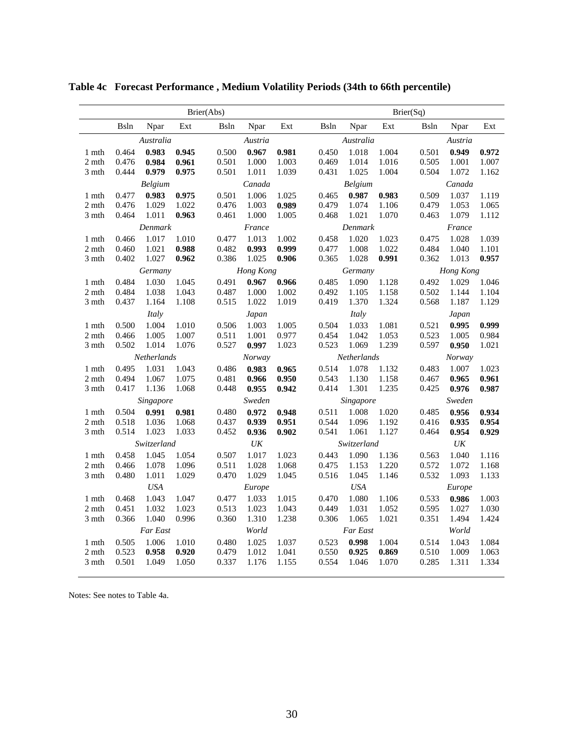|                |                |                |                | Brier(Abs)     |                |                | Brier(Sq)      |                |                |                |                   |                |  |  |
|----------------|----------------|----------------|----------------|----------------|----------------|----------------|----------------|----------------|----------------|----------------|-------------------|----------------|--|--|
|                | <b>B</b> sln   | Npar           | Ext            | Bsln           | Npar           | Ext            | <b>Bsln</b>    | Npar           | Ext            | <b>B</b> sln   | Npar              | Ext            |  |  |
|                |                | Australia      |                |                | Austria        |                |                | Australia      |                |                | Austria           |                |  |  |
| 1 mth          | 0.464          | 0.983          | 0.945          | 0.500          | 0.967          | 0.981          | 0.450          | 1.018          | 1.004          | 0.501          | 0.949             | 0.972          |  |  |
| 2 mth          | 0.476          | 0.984          | 0.961          | 0.501          | 1.000          | 1.003          | 0.469          | 1.014          | 1.016          | 0.505          | 1.001             | 1.007          |  |  |
| 3 mth          | 0.444          | 0.979          | 0.975          | 0.501          | 1.011          | 1.039          | 0.431          | 1.025          | 1.004          | 0.504          | 1.072             | 1.162          |  |  |
|                | Belgium        |                |                | Canada         |                |                |                | Belgium        |                |                | Canada            |                |  |  |
| 1 mth          | 0.477<br>0.476 | 0.983          | 0.975          | 0.501<br>0.476 | 1.006<br>1.003 | 1.025          | 0.465          | 0.987          | 0.983          | 0.509          | 1.037             | 1.119          |  |  |
| 2 mth<br>3 mth | 0.464          | 1.029<br>1.011 | 1.022<br>0.963 | 0.461          | 1.000          | 0.989<br>1.005 | 0.479<br>0.468 | 1.074<br>1.021 | 1.106<br>1.070 | 0.479<br>0.463 | 1.053<br>1.079    | 1.065<br>1.112 |  |  |
|                |                | Denmark        |                |                | France         |                |                | Denmark        |                |                | France            |                |  |  |
| 1 mth          | 0.466          | 1.017          | 1.010          | 0.477          | 1.013          | 1.002          | 0.458          | 1.020          | 1.023          | 0.475          | 1.028             | 1.039          |  |  |
| 2 mth          | 0.460          | 1.021          | 0.988          | 0.482          | 0.993          | 0.999          | 0.477          | 1.008          | 1.022          | 0.484          | 1.040             | 1.101          |  |  |
| 3 mth          | 0.402          | 1.027          | 0.962          | 0.386          | 1.025          | 0.906          | 0.365          | 1.028          | 0.991          | 0.362          | 1.013             | 0.957          |  |  |
|                |                | Germany        |                |                | Hong Kong      |                |                | Germany        |                |                | Hong Kong         |                |  |  |
| 1 mth          | 0.484          | 1.030          | 1.045          | 0.491          | 0.967          | 0.966          | 0.485          | 1.090          | 1.128          | 0.492          | 1.029             | 1.046          |  |  |
| 2 mth          | 0.484          | 1.038          | 1.043          | 0.487          | 1.000          | 1.002          | 0.492          | 1.105          | 1.158          | 0.502          | 1.144             | 1.104          |  |  |
| 3 mth          | 0.437          | 1.164          | 1.108          | 0.515          | 1.022          | 1.019          | 0.419          | 1.370          | 1.324          | 0.568          | 1.187             | 1.129          |  |  |
|                | Italy          |                |                |                | Japan          |                |                | Italy          |                |                | Japan             |                |  |  |
| 1 mth          | 0.500          | 1.004          | 1.010          | 0.506          | 1.003          | 1.005          | 0.504          | 1.033          | 1.081          | 0.521          | 0.995             | 0.999          |  |  |
| 2 mth          | 0.466          | 1.005          | 1.007          | 0.511          | 1.001          | 0.977          | 0.454          | 1.042          | 1.053          | 0.523          | 1.005             | 0.984          |  |  |
| 3 mth          | 0.502          | 1.014          | 1.076          | 0.527          | 0.997          | 1.023          | 0.523          | 1.069          | 1.239          | 0.597          | 0.950             | 1.021          |  |  |
|                |                | Netherlands    |                | Norway         |                |                |                | Netherlands    |                |                | Norway            |                |  |  |
| 1 mth          | 0.495<br>0.494 | 1.031<br>1.067 | 1.043          | 0.486<br>0.481 | 0.983<br>0.966 | 0.965<br>0.950 | 0.514<br>0.543 | 1.078<br>1.130 | 1.132          | 0.483          | 1.007<br>0.965    | 1.023<br>0.961 |  |  |
| 2 mth<br>3 mth | 0.417          | 1.136          | 1.075<br>1.068 | 0.448          | 0.955          | 0.942          | 0.414          | 1.301          | 1.158<br>1.235 | 0.467<br>0.425 | 0.976             | 0.987          |  |  |
|                |                | Singapore      |                |                | Sweden         |                |                | Singapore      |                | Sweden         |                   |                |  |  |
| 1 mth          | 0.504          | 0.991          | 0.981          | 0.480          | 0.972          | 0.948          | 0.511          | 1.008          | 1.020          | 0.485          | 0.956             | 0.934          |  |  |
| 2 mth          | 0.518          | 1.036          | 1.068          | 0.437          | 0.939          | 0.951          | 0.544          | 1.096          | 1.192          | 0.416          | 0.935             | 0.954          |  |  |
| 3 mth          | 0.514          | 1.023          | 1.033          | 0.452          | 0.936          | 0.902          | 0.541          | 1.061          | 1.127          | 0.464          | 0.954             | 0.929          |  |  |
|                |                | Switzerland    |                |                | UK             |                |                | Switzerland    |                |                | $\ensuremath{UK}$ |                |  |  |
| 1 mth          | 0.458          | 1.045          | 1.054          | 0.507          | 1.017          | 1.023          | 0.443          | 1.090          | 1.136          | 0.563          | 1.040             | 1.116          |  |  |
| 2 mth          | 0.466          | 1.078          | 1.096          | 0.511          | 1.028          | 1.068          | 0.475          | 1.153          | 1.220          | 0.572          | 1.072             | 1.168          |  |  |
| 3 mth          | 0.480          | 1.011          | 1.029          | 0.470          | 1.029          | 1.045          | 0.516          | 1.045          | 1.146          | 0.532          | 1.093             | 1.133          |  |  |
|                |                | <b>USA</b>     |                |                | Europe         |                |                | <b>USA</b>     |                |                | Europe            |                |  |  |
| 1 mth          | 0.468          | 1.043          | 1.047          | 0.477          | 1.033          | 1.015          | 0.470          | 1.080          | 1.106          | 0.533          | 0.986             | 1.003          |  |  |
| 2 mth          | 0.451          | 1.032<br>1.040 | 1.023          | 0.513          | 1.023<br>1.310 | 1.043          | 0.449          | 1.031          | 1.052          | 0.595<br>0.351 | 1.027             | 1.030          |  |  |
| 3 mth          | 0.366          |                | 0.996          | 0.360          |                | 1.238          | 0.306          | 1.065          | 1.021          |                | 1.494             | 1.424          |  |  |
|                |                | Far East       |                |                | World          |                |                | Far East       |                |                | World             |                |  |  |
| 1 mth<br>2 mth | 0.505<br>0.523 | 1.006<br>0.958 | 1.010<br>0.920 | 0.480<br>0.479 | 1.025<br>1.012 | 1.037<br>1.041 | 0.523<br>0.550 | 0.998<br>0.925 | 1.004<br>0.869 | 0.514<br>0.510 | 1.043<br>1.009    | 1.084<br>1.063 |  |  |
| 3 mth          | 0.501          | 1.049          | 1.050          | 0.337          | 1.176          | 1.155          | 0.554          | 1.046          | 1.070          | 0.285          | 1.311             | 1.334          |  |  |
|                |                |                |                |                |                |                |                |                |                |                |                   |                |  |  |

**Table 4c Forecast Performance , Medium Volatility Periods (34th to 66th percentile)** 

Notes: See notes to Table 4a.